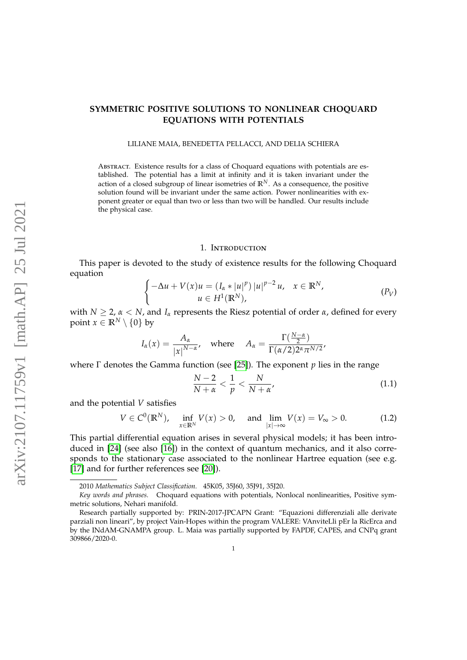# **SYMMETRIC POSITIVE SOLUTIONS TO NONLINEAR CHOQUARD EQUATIONS WITH POTENTIALS**

LILIANE MAIA, BENEDETTA PELLACCI, AND DELIA SCHIERA

Abstract. Existence results for a class of Choquard equations with potentials are established. The potential has a limit at infinity and it is taken invariant under the action of a closed subgroup of linear isometries of  $\mathbb{R}^{N}$ . As a consequence, the positive solution found will be invariant under the same action. Power nonlinearities with exponent greater or equal than two or less than two will be handled. Our results include the physical case.

#### <span id="page-0-0"></span>1. Introduction

This paper is devoted to the study of existence results for the following Choquard equation

<span id="page-0-2"></span>
$$
\begin{cases}\n-\Delta u + V(x)u = (I_{\alpha} * |u|^p) |u|^{p-2} u, & x \in \mathbb{R}^N, \\
u \in H^1(\mathbb{R}^N),\n\end{cases} \tag{P_V}
$$

with  $N \geq 2$ ,  $\alpha < N$ , and  $I_{\alpha}$  represents the Riesz potential of order  $\alpha$ , defined for every point  $x \in \mathbb{R}^N \setminus \{0\}$  by

$$
I_{\alpha}(x) = \frac{A_{\alpha}}{|x|^{N-\alpha}}, \quad \text{where} \quad A_{\alpha} = \frac{\Gamma(\frac{N-\alpha}{2})}{\Gamma(\alpha/2)2^{\alpha} \pi^{N/2}},
$$

where Γ denotes the Gamma function (see [\[25\]](#page-33-0)). The exponent *p* lies in the range

$$
\frac{N-2}{N+\alpha} < \frac{1}{p} < \frac{N}{N+\alpha'},\tag{1.1}
$$

and the potential *V* satisfies

<span id="page-0-1"></span>
$$
V \in C^{0}(\mathbb{R}^{N}), \quad \inf_{x \in \mathbb{R}^{N}} V(x) > 0, \quad \text{and} \quad \lim_{|x| \to \infty} V(x) = V_{\infty} > 0. \tag{1.2}
$$

This partial differential equation arises in several physical models; it has been introduced in [\[24\]](#page-33-1) (see also [\[16\]](#page-33-2)) in the context of quantum mechanics, and it also corresponds to the stationary case associated to the nonlinear Hartree equation (see e.g. [\[17\]](#page-33-3) and for further references see [\[20\]](#page-33-4)).

<sup>2010</sup> *Mathematics Subject Classification.* 45K05, 35J60, 35J91, 35J20.

*Key words and phrases.* Choquard equations with potentials, Nonlocal nonlinearities, Positive symmetric solutions, Nehari manifold.

Research partially supported by: PRIN-2017-JPCAPN Grant: "Equazioni differenziali alle derivate parziali non lineari", by project Vain-Hopes within the program VALERE: VAnviteLli pEr la RicErca and by the INdAM-GNAMPA group. L. Maia was partially supported by FAPDF, CAPES, and CNPq grant 309866/2020-0.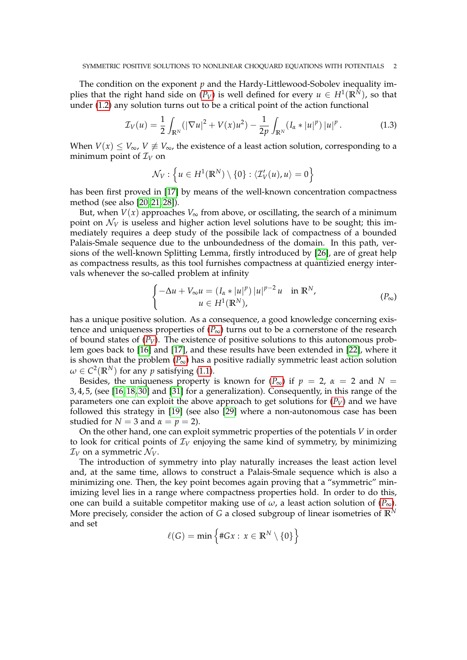The condition on the exponent *p* and the Hardy-Littlewood-Sobolev inequality implies that the right hand side on  $(P_V)$  $(P_V)$  $(P_V)$  is well defined for every  $u \in H^1(\mathbb{R}^N)$ , so that under [\(1.2\)](#page-0-1) any solution turns out to be a critical point of the action functional

<span id="page-1-1"></span>
$$
\mathcal{I}_V(u) = \frac{1}{2} \int_{\mathbb{R}^N} (|\nabla u|^2 + V(x)u^2) - \frac{1}{2p} \int_{\mathbb{R}^N} (I_\alpha * |u|^p) |u|^p. \tag{1.3}
$$

When  $V(x) \leq V_{\infty}$ ,  $V \neq V_{\infty}$ , the existence of a least action solution, corresponding to a minimum point of  $\mathcal{I}_V$  on

$$
\mathcal{N}_V: \left\{ u \in H^1(\mathbb{R}^N) \setminus \{0\} : \langle \mathcal{I}_V'(u), u \rangle = 0 \right\}
$$

has been first proved in [\[17\]](#page-33-3) by means of the well-known concentration compactness method (see also [\[20,](#page-33-4) [21,](#page-33-5) [28\]](#page-33-6)).

But, when  $V(x)$  approaches  $V_{\infty}$  from above, or oscillating, the search of a minimum point on  $\mathcal{N}_V$  is useless and higher action level solutions have to be sought; this immediately requires a deep study of the possibile lack of compactness of a bounded Palais-Smale sequence due to the unboundedness of the domain. In this path, versions of the well-known Splitting Lemma, firstly introduced by [\[26\]](#page-33-7), are of great help as compactness results, as this tool furnishes compactness at quantizied energy intervals whenever the so-called problem at infinity

<span id="page-1-2"></span><span id="page-1-0"></span>
$$
\begin{cases}\n-\Delta u + V_{\infty}u = (I_{\alpha} * |u|^p) |u|^{p-2} u & \text{in } \mathbb{R}^N, \\
u \in H^1(\mathbb{R}^N),\n\end{cases} \tag{P\infty}
$$

has a unique positive solution. As a consequence, a good knowledge concerning existence and uniqueness properties of  $(P_{\infty})$  $(P_{\infty})$  $(P_{\infty})$  turns out to be a cornerstone of the research of bound states of  $(P_V)$  $(P_V)$  $(P_V)$ . The existence of positive solutions to this autonomous problem goes back to [\[16\]](#page-33-2) and [\[17\]](#page-33-3), and these results have been extended in [\[22\]](#page-33-8), where it is shown that the problem  $(P_{\infty})$  $(P_{\infty})$  $(P_{\infty})$  has a positive radially symmetric least action solution  $\omega \in C^2(\mathbb{R}^N)$  for any  $p$  satisfying [\(1.1\)](#page-0-2).

Besides, the uniqueness property is known for  $(P_{\infty})$  $(P_{\infty})$  $(P_{\infty})$  if  $p = 2$ ,  $\alpha = 2$  and  $N =$ 3, 4, 5, (see [\[16,](#page-33-2) [18,](#page-33-9) [30\]](#page-33-10) and [\[31\]](#page-33-11) for a generalization). Consequently, in this range of the parameters one can exploit the above approach to get solutions for  $(P_V)$  $(P_V)$  $(P_V)$  and we have followed this strategy in [\[19\]](#page-33-12) (see also [\[29\]](#page-33-13) where a non-autonomous case has been studied for  $N = 3$  and  $\alpha = p = 2$ ).

On the other hand, one can exploit symmetric properties of the potentials *V* in order to look for critical points of  $\mathcal{I}_V$  enjoying the same kind of symmetry, by minimizing  $\mathcal{I}_V$  on a symmetric  $\mathcal{N}_V$ .

The introduction of symmetry into play naturally increases the least action level and, at the same time, allows to construct a Palais-Smale sequence which is also a minimizing one. Then, the key point becomes again proving that a "symmetric" minimizing level lies in a range where compactness properties hold. In order to do this, one can build a suitable competitor making use of  $\omega$ , a least action solution of  $(P_{\infty})$  $(P_{\infty})$  $(P_{\infty})$ . More precisely, consider the action of *G* a closed subgroup of linear isometries of  $\mathbb{R}^N$ and set

$$
\ell(G) = \min \left\{ \#Gx : x \in \mathbb{R}^N \setminus \{0\} \right\}
$$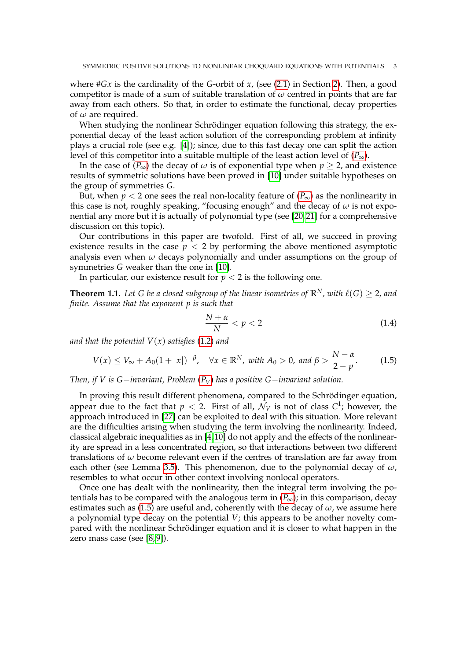where #*Gx* is the cardinality of the *G*-orbit of *x*, (see [\(2.1\)](#page-5-0) in Section [2\)](#page-5-1). Then, a good competitor is made of a sum of suitable translation of *ω* centred in points that are far away from each others. So that, in order to estimate the functional, decay properties of *ω* are required.

When studying the nonlinear Schrödinger equation following this strategy, the exponential decay of the least action solution of the corresponding problem at infinity plays a crucial role (see e.g. [\[4\]](#page-32-0)); since, due to this fast decay one can split the action level of this competitor into a suitable multiple of the least action level of  $(P_{\infty})$  $(P_{\infty})$  $(P_{\infty})$ .

In the case of  $(P_{\infty})$  $(P_{\infty})$  $(P_{\infty})$  the decay of  $\omega$  is of exponential type when  $p \ge 2$ , and existence results of symmetric solutions have been proved in [\[10\]](#page-33-14) under suitable hypotheses on the group of symmetries *G*.

But, when  $p < 2$  one sees the real non-locality feature of  $(P_{\infty})$  $(P_{\infty})$  $(P_{\infty})$  as the nonlinearity in this case is not, roughly speaking, "focusing enough" and the decay of  $\omega$  is not exponential any more but it is actually of polynomial type (see [\[20,](#page-33-4) [21\]](#page-33-5) for a comprehensive discussion on this topic).

Our contributions in this paper are twofold. First of all, we succeed in proving existence results in the case  $p < 2$  by performing the above mentioned asymptotic analysis even when *ω* decays polynomially and under assumptions on the group of symmetries *G* weaker than the one in [\[10\]](#page-33-14).

In particular, our existence result for  $p < 2$  is the following one.

<span id="page-2-1"></span>**Theorem 1.1.** Let G be a closed subgroup of the linear isometries of  $\mathbb{R}^N$ , with  $\ell(G) \geq 2$ , and *finite. Assume that the exponent p is such that*

$$
\frac{N+\alpha}{N} < p < 2\tag{1.4}
$$

*and that the potential*  $V(x)$  *satisfies* [\(1.2\)](#page-0-1) *and* 

<span id="page-2-0"></span>
$$
V(x) \le V_{\infty} + A_0 (1+|x|)^{-\beta}, \quad \forall x \in \mathbb{R}^N, \text{ with } A_0 > 0, \text{ and } \beta > \frac{N-\alpha}{2-p}.
$$
 (1.5)

*Then, if V is G*−*invariant, Problem* (*[P](#page-0-0)V*) *has a positive G*−*invariant solution.*

In proving this result different phenomena, compared to the Schrödinger equation, appear due to the fact that  $p < 2$ . First of all,  $\mathcal{N}_V$  is not of class  $C^1$ ; however, the approach introduced in [\[27\]](#page-33-15) can be exploited to deal with this situation. More relevant are the difficulties arising when studying the term involving the nonlinearity. Indeed, classical algebraic inequalities as in [\[4,](#page-32-0)[10\]](#page-33-14) do not apply and the effects of the nonlinearity are spread in a less concentrated region, so that interactions between two different translations of *ω* become relevant even if the centres of translation are far away from each other (see Lemma [3.5\)](#page-11-0). This phenomenon, due to the polynomial decay of  $\omega$ , resembles to what occur in other context involving nonlocal operators.

Once one has dealt with the nonlinearity, then the integral term involving the potentials has to be compared with the analogous term in  $(P_{\infty})$  $(P_{\infty})$  $(P_{\infty})$ ; in this comparison, decay estimates such as [\(1.5\)](#page-2-0) are useful and, coherently with the decay of  $\omega$ , we assume here a polynomial type decay on the potential *V*; this appears to be another novelty compared with the nonlinear Schrödinger equation and it is closer to what happen in the zero mass case (see [\[8,](#page-32-1)9]).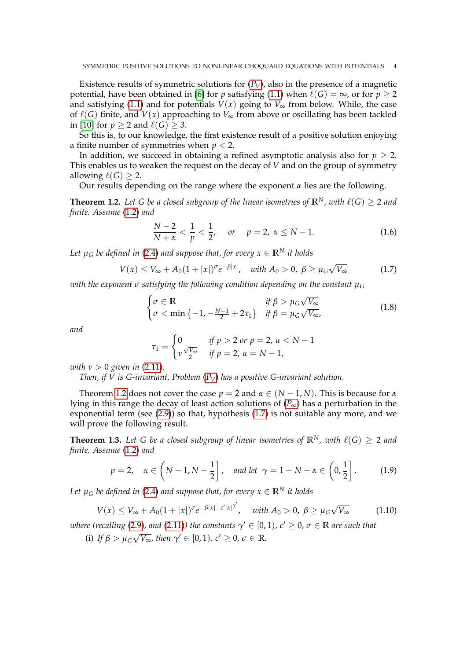Existence results of symmetric solutions for  $(P_V)$  $(P_V)$  $(P_V)$ , also in the presence of a magnetic potential, have been obtained in [\[6\]](#page-32-3) for *p* satisfying [\(1.1\)](#page-0-2) when  $\ell(G) = \infty$ , or for  $p \ge 2$ and satisfying [\(1.1\)](#page-0-2) and for potentials  $V(x)$  going to  $V_{\infty}$  from below. While, the case of  $\ell(G)$  finite, and  $V(x)$  approaching to  $V_{\infty}$  from above or oscillating has been tackled in [\[10\]](#page-33-14) for  $p > 2$  and  $\ell(G) > 3$ .

So this is, to our knowledge, the first existence result of a positive solution enjoying a finite number of symmetries when *p* < 2.

In addition, we succeed in obtaining a refined asymptotic analysis also for  $p > 2$ . This enables us to weaken the request on the decay of *V* and on the group of symmetry allowing  $\ell(G) > 2$ .

Our results depending on the range where the exponent *α* lies are the following.

<span id="page-3-0"></span>**Theorem 1.2.** Let G be a closed subgroup of the linear isometries of  $\mathbb{R}^N$ , with  $\ell(G) > 2$  and *finite. Assume* [\(1.2\)](#page-0-1) *and*

<span id="page-3-4"></span>
$$
\frac{N-2}{N+\alpha} < \frac{1}{p} < \frac{1}{2}, \quad \text{or} \quad p = 2, \ \alpha \le N-1. \tag{1.6}
$$

*Let*  $\mu_G$  *be defined in* [\(2.4\)](#page-5-2) *and suppose that, for every*  $x \in \mathbb{R}^N$  *it holds* 

<span id="page-3-1"></span>
$$
V(x) \le V_{\infty} + A_0 (1+|x|)^{\sigma} e^{-\beta |x|}, \quad \text{with } A_0 > 0, \ \beta \ge \mu_G \sqrt{V_{\infty}}
$$
 (1.7)

*with the exponent σ satisfying the following condition depending on the constant µ<sup>G</sup>*

<span id="page-3-3"></span>
$$
\begin{cases}\n\sigma \in \mathbb{R} & \text{if } \beta > \mu_G \sqrt{V_{\infty}} \\
\sigma < \min \left\{ -1, -\frac{N-1}{2} + 2\tau_1 \right\} & \text{if } \beta = \mu_G \sqrt{V_{\infty}},\n\end{cases}
$$
\n(1.8)

*and*

$$
\tau_1 = \begin{cases} 0 & \text{if } p > 2 \text{ or } p = 2, \, \alpha < N - 1 \\ \nu \frac{\sqrt{V_\infty}}{2} & \text{if } p = 2, \, \alpha = N - 1, \end{cases}
$$

*with*  $\nu > 0$  *given in* [\(2.11\)](#page-8-0).

*Then, if V is G-invariant, Problem* (*[P](#page-0-0)V*) *has a positive G-invariant solution.*

Theorem [1.2](#page-3-0) does not cover the case  $p = 2$  and  $\alpha \in (N - 1, N)$ . This is because for  $\alpha$ lying in this range the decay of least action solutions of  $(P_{\infty})$  $(P_{\infty})$  $(P_{\infty})$  has a perturbation in the exponential term (see [\(2.9\)](#page-7-0)) so that, hypothesis [\(1.7\)](#page-3-1) is not suitable any more, and we will prove the following result.

<span id="page-3-2"></span>**Theorem 1.3.** Let G be a closed subgroup of linear isometries of  $\mathbb{R}^N$ , with  $\ell(G) > 2$  and *finite. Assume* [\(1.2\)](#page-0-1) *and*

<span id="page-3-5"></span>
$$
p = 2, \quad \alpha \in \left(N - 1, N - \frac{1}{2}\right], \quad \text{and let} \quad \gamma = 1 - N + \alpha \in \left(0, \frac{1}{2}\right]. \tag{1.9}
$$

*Let*  $\mu_G$  *be defined in* [\(2.4\)](#page-5-2) *and suppose that, for every*  $x \in \mathbb{R}^N$  *it holds* 

<span id="page-3-6"></span>
$$
V(x) \le V_{\infty} + A_0 (1+|x|)^{\sigma} e^{-\beta |x|+c' |x|^{\gamma'}}, \quad \text{with } A_0 > 0, \ \beta \ge \mu_G \sqrt{V_{\infty}}
$$
 (1.10)

*where (recalling [\(2.9\)](#page-7-0), and [\(2.11\)](#page-8-0)) the constants*  $\gamma' \in [0,1)$ *,*  $c' \geq 0$ *,*  $\sigma \in \mathbb{R}$  *are such that* √

(i) If  $\beta > \mu_G$  $\overline{V_{\infty}}$ *, then*  $\gamma' \in [0,1)$ *, c'*  $\geq 0$ *, σ*  $\in \mathbb{R}$ *.*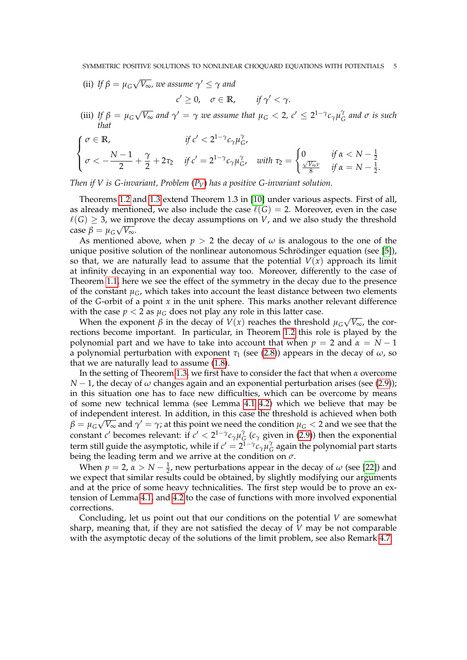- (ii) *If*  $\beta = \mu_G$ √  $\overline{V_{\infty}}$ , we assume  $\gamma' \leq \gamma$  and
	- $c' \geq 0$ ,  $\sigma \in \mathbb{R}$ , *if*  $\gamma' < \gamma$ .
- (iii) *If*  $\beta = \mu_G$ √  $\overline{V_{\infty}}$  and  $\gamma' = \gamma$  we assume that  $\mu_G < 2$ ,  $c' \leq 2^{1-\gamma}c_{\gamma}\mu_G^{\gamma}$ *G and σ is such that*

$$
\begin{cases}\n\sigma \in \mathbb{R}, & \text{if } c' < 2^{1-\gamma} c_\gamma \mu_G^\gamma, \\
\sigma < -\frac{N-1}{2} + \frac{\gamma}{2} + 2\tau_2 & \text{if } c' = 2^{1-\gamma} c_\gamma \mu_G^\gamma, \quad \text{with } \tau_2 = \begin{cases}\n0 & \text{if } \alpha < N - \frac{1}{2} \\
\frac{\sqrt{V_\infty} \nu}{8} & \text{if } \alpha = N - \frac{1}{2}.\n\end{cases}\n\end{cases}
$$

*Then if V is G-invariant, Problem* (*[P](#page-0-0)V*) *has a positive G-invariant solution.*

Theorems [1.2](#page-3-0) and [1.3](#page-3-2) extend Theorem 1.3 in [\[10\]](#page-33-14) under various aspects. First of all, as already mentioned, we also include the case  $\ell(G) = 2$ . Moreover, even in the case  $\ell(G) \geq 3$ , we improve the decay assumptions on *V*, and we also study the threshold  $\cose \beta = \mu_G \sqrt{V_{\infty}}$ .

As mentioned above, when  $p > 2$  the decay of  $\omega$  is analogous to the one of the unique positive solution of the nonlinear autonomous Schrödinger equation (see [\[5\]](#page-32-4)), so that, we are naturally lead to assume that the potential  $V(x)$  approach its limit at infinity decaying in an exponential way too. Moreover, differently to the case of Theorem [1.1,](#page-2-1) here we see the effect of the symmetry in the decay due to the presence of the constant  $\mu_G$ , which takes into account the least distance between two elements of the *G*-orbit of a point *x* in the unit sphere. This marks another relevant difference with the case  $p < 2$  as  $\mu$ <sup>*G*</sup> does not play any role in this latter case. √

When the exponent  $\beta$  in the decay of  $V(x)$  reaches the threshold  $\mu_G$ *V*∞, the corrections become important. In particular, in Theorem [1.2](#page-3-0) this role is played by the polynomial part and we have to take into account that when  $p = 2$  and  $\alpha = N - 1$ a polynomial perturbation with exponent  $\tau_1$  (see [\(2.8\)](#page-7-1)) appears in the decay of  $\omega$ , so that we are naturally lead to assume [\(1.8\)](#page-3-3).

In the setting of Theorem [1.3,](#page-3-2) we first have to consider the fact that when *α* overcome *N* − 1, the decay of  $\omega$  changes again and an exponential perturbation arises (see [\(2.9\)](#page-7-0)); in this situation one has to face new difficulties, which can be overcome by means of some new technical lemma (see Lemma [4.1](#page-19-0) [4.2\)](#page-24-0) which we believe that may be of independent interest. In addition, in this case the threshold is achieved when both  $\beta=\mu_G\sqrt{V_\infty}$  and  $\gamma'=\gamma$ ; at this point we need the condition  $\mu_G < 2$  and we see that the constant *c*<sup> $\prime$ </sup> becomes relevant: if  $c' < 2^{1-\gamma}c_{\gamma}\mu_{G}^{\gamma}$  $G$ <sup>*I*</sup> ( $c$ <sub>*γ*</sub> given in [\(2.9\)](#page-7-0)) then the exponential term still guide the asymptotic, while if  $c' = 2^{\bar{1}-\gamma} c_\gamma \mu_{\zeta}^{\gamma}$  $\frac{7}{6}$  again the polynomial part starts being the leading term and we arrive at the condition on *σ*.

When  $p = 2$ ,  $\alpha > N - \frac{1}{2}$ , new perturbations appear in the decay of  $\omega$  (see [\[22\]](#page-33-8)) and we expect that similar results could be obtained, by slightly modifying our arguments and at the price of some heavy technicalities. The first step would be to prove an extension of Lemma [4.1,](#page-19-0) and [4.2](#page-24-0) to the case of functions with more involved exponential corrections.

Concluding, let us point out that our conditions on the potential *V* are somewhat sharp, meaning that, if they are not satisfied the decay of *V* may be not comparable with the asymptotic decay of the solutions of the limit problem, see also Remark [4.7.](#page-30-0)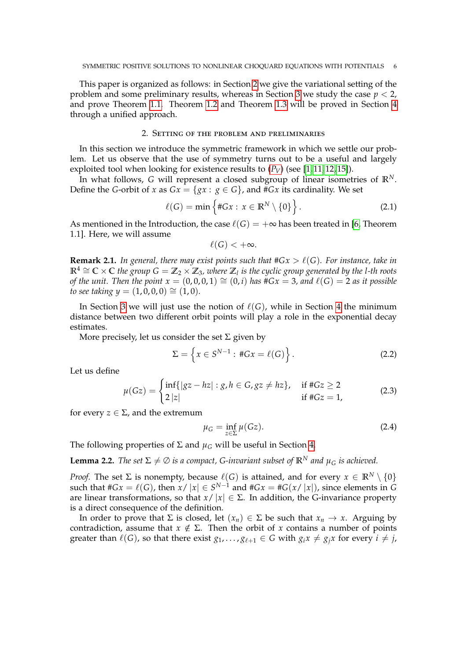This paper is organized as follows: in Section [2](#page-5-1) we give the variational setting of the problem and some preliminary results, whereas in Section [3](#page-9-0) we study the case  $p < 2$ , and prove Theorem [1.1.](#page-2-1) Theorem [1.2](#page-3-0) and Theorem [1.3](#page-3-2) will be proved in Section [4](#page-19-1) through a unified approach.

## 2. Setting of the problem and preliminaries

<span id="page-5-1"></span>In this section we introduce the symmetric framework in which we settle our problem. Let us observe that the use of symmetry turns out to be a useful and largely exploited tool when looking for existence results to  $(P_V)$  $(P_V)$  $(P_V)$  (see [\[1,](#page-32-5)11,12,15]).

In what follows, *G* will represent a closed subgroup of linear isometries of  $\mathbb{R}^N$ . Define the *G*-orbit of *x* as  $Gx = \{gx : g \in G\}$ , and #*Gx* its cardinality. We set

<span id="page-5-0"></span>
$$
\ell(G) = \min\left\{ \#Gx : x \in \mathbb{R}^N \setminus \{0\} \right\}.
$$
 (2.1)

As mentioned in the Introduction, the case  $\ell(G) = +\infty$  has been treated in [\[6,](#page-32-3) Theorem 1.1]. Here, we will assume

$$
\ell(G)<+\infty.
$$

**Remark 2.1.** *In general, there may exist points such that*  $#Gx > \ell(G)$ *. For instance, take in* **<sup>R</sup>**<sup>4</sup> <sup>∼</sup><sup>=</sup> **<sup>C</sup>** <sup>×</sup> **<sup>C</sup>** *the group G* <sup>=</sup> **<sup>Z</sup>**<sup>2</sup> <sup>×</sup> **<sup>Z</sup>**3*, where* **<sup>Z</sup>***<sup>l</sup> is the cyclic group generated by the l-th roots of the unit. Then the point*  $x = (0,0,0,1) \cong (0,i)$  *has*  $\#Gx = 3$ *, and*  $\ell(G) = 2$  *as it possible to see taking*  $y = (1, 0, 0, 0) \approx (1, 0)$ .

In Section [3](#page-9-0) we will just use the notion of  $\ell(G)$ , while in Section [4](#page-19-1) the minimum distance between two different orbit points will play a role in the exponential decay estimates.

More precisely, let us consider the set  $\Sigma$  given by

<span id="page-5-4"></span>
$$
\Sigma = \left\{ x \in S^{N-1} : \#Gx = \ell(G) \right\}.
$$
 (2.2)

Let us define

<span id="page-5-3"></span>
$$
\mu(Gz) = \begin{cases} \inf\{|gz - hz| : g, h \in G, gz \neq hz\}, & \text{if } \#Gz \ge 2\\ 2|z| & \text{if } \#Gz = 1, \end{cases}
$$
(2.3)

for every  $z \in \Sigma$ , and the extremum

<span id="page-5-2"></span>
$$
\mu_G = \inf_{z \in \Sigma} \mu(Gz). \tag{2.4}
$$

The following properties of  $\Sigma$  and  $\mu_G$  will be useful in Section [4.](#page-19-1)

<span id="page-5-5"></span>**Lemma 2.2.** *The set*  $\Sigma \neq \emptyset$  *is a compact, G-invariant subset of*  $\mathbb{R}^N$  *and*  $\mu_G$  *is achieved.* 

*Proof.* The set  $\Sigma$  is nonempty, because  $\ell(G)$  is attained, and for every  $x \in \mathbb{R}^N \setminus \{0\}$ such that  $#Gx = \ell(G)$ , then  $x / |x| \in S^{N-1}$  and  $#Gx = #G(x / |x|)$ , since elements in G are linear transformations, so that  $x/ |x| \in \Sigma$ . In addition, the G-invariance property is a direct consequence of the definition.

In order to prove that  $\Sigma$  is closed, let  $(x_n) \in \Sigma$  be such that  $x_n \to x$ . Arguing by contradiction, assume that  $x \notin \Sigma$ . Then the orbit of *x* contains a number of points greater than  $\ell(G)$ , so that there exist  $g_1, \ldots, g_{\ell+1} \in G$  with  $g_i x \neq g_j x$  for every  $i \neq j$ ,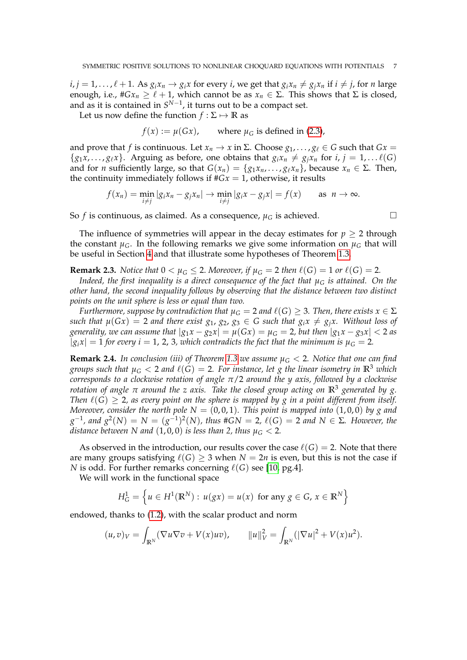$i, j = 1, \ldots, \ell + 1$ . As  $g_i x_n \rightarrow g_i x$  for every i, we get that  $g_i x_n \neq g_j x_n$  if  $i \neq j$ , for *n* large enough, i.e.,  $\#Gx_n \geq \ell + 1$ , which cannot be as  $x_n \in \Sigma$ . This shows that  $\Sigma$  is closed, and as it is contained in *S*<sup>N−1</sup>, it turns out to be a compact set.

Let us now define the function  $f : \Sigma \mapsto \mathbb{R}$  as

$$
f(x) := \mu(Gx)
$$
, where  $\mu_G$  is defined in (2.3),

and prove that *f* is continuous. Let  $x_n \to x$  in  $\Sigma$ . Choose  $g_1, \ldots, g_\ell \in G$  such that  $Gx =$  $\{g_1x, \ldots, g_\ell x\}$ . Arguing as before, one obtains that  $g_ix_n \neq g_jx_n$  for  $i, j = 1, \ldots \ell(G)$ and for *n* sufficiently large, so that  $G(x_n) = \{g_1x_n, \ldots, g_\ell x_n\}$ , because  $x_n \in \Sigma$ . Then, the continuity immediately follows if  $#Gx = 1$ , otherwise, it results

$$
f(x_n) = \min_{i \neq j} |g_i x_n - g_j x_n| \to \min_{i \neq j} |g_i x - g_j x| = f(x) \quad \text{as } n \to \infty.
$$

So *f* is continuous, as claimed. As a consequence,  $\mu_G$  is achieved.

The influence of symmetries will appear in the decay estimates for  $p \geq 2$  through the constant  $\mu_G$ . In the following remarks we give some information on  $\mu_G$  that will be useful in Section [4](#page-19-1) and that illustrate some hypotheses of Theorem [1.3.](#page-3-2)

<span id="page-6-0"></span>**Remark 2.3.** *Notice that*  $0 < \mu_G \le 2$ *. Moreover, if*  $\mu_G = 2$  *then*  $\ell(G) = 1$  *or*  $\ell(G) = 2$ *.* 

*Indeed, the first inequality is a direct consequence of the fact that*  $\mu_G$  *is attained. On the other hand, the second inequality follows by observing that the distance between two distinct points on the unit sphere is less or equal than two.*

*Furthermore, suppose by contradiction that*  $\mu_G = 2$  *and*  $\ell(G) \geq 3$ *. Then, there exists*  $x \in \Sigma$ *such that*  $\mu(Gx) = 2$  *and there exist*  $g_1, g_2, g_3 \in G$  *such that*  $g_i x \neq g_j x$ . Without loss of *generality, we can assume that*  $|g_1x - g_2x| = \mu(Gx) = \mu_G = 2$ , but then  $|g_1x - g_3x| < 2$  as  $|g_i x| = 1$  *for every i* = 1, 2, 3, which contradicts the fact that the minimum is  $\mu_G = 2$ .

**Remark 2.4.** In conclusion (iii) of Theorem [1.3](#page-3-2) we assume  $\mu$ <sub>G</sub>  $\lt$  2. Notice that one can find *groups such that*  $\mu_G < 2$  *and*  $\ell(G) = 2$ *. For instance, let g the linear isometry in*  $\mathbb{R}^3$  *which corresponds to a clockwise rotation of angle π*/2 *around the y axis, followed by a clockwise rotation of angle π around the z axis. Take the closed group acting on* **R**<sup>3</sup> *generated by g. Then*  $\ell(G) > 2$ , as every point on the sphere is mapped by g in a point different from itself. *Moreover, consider the north pole*  $N = (0, 0, 1)$ *. This point is mapped into*  $(1, 0, 0)$  by g and  $g^{-1}$ , and  $g^2(N) = N = (g^{-1})^2(N)$ , thus #GN = 2, l(G) = 2 and N ∈ Σ. However, the *distance between N and*  $(1, 0, 0)$  *is less than 2, thus*  $\mu$ <sup>*G*</sup> < 2*.* 

As observed in the introduction, our results cover the case  $\ell(G) = 2$ . Note that there are many groups satisfying  $\ell(G) \geq 3$  when  $N = 2n$  is even, but this is not the case if *N* is odd. For further remarks concerning  $\ell(G)$  see [\[10,](#page-33-14) pg.4].

We will work in the functional space

$$
H_G^1 = \left\{ u \in H^1(\mathbb{R}^N) : u(gx) = u(x) \text{ for any } g \in G, x \in \mathbb{R}^N \right\}
$$

endowed, thanks to [\(1.2\)](#page-0-1), with the scalar product and norm

$$
(u,v)_V = \int_{\mathbb{R}^N} (\nabla u \nabla v + V(x) u v), \qquad ||u||_V^2 = \int_{\mathbb{R}^N} (|\nabla u|^2 + V(x) u^2).
$$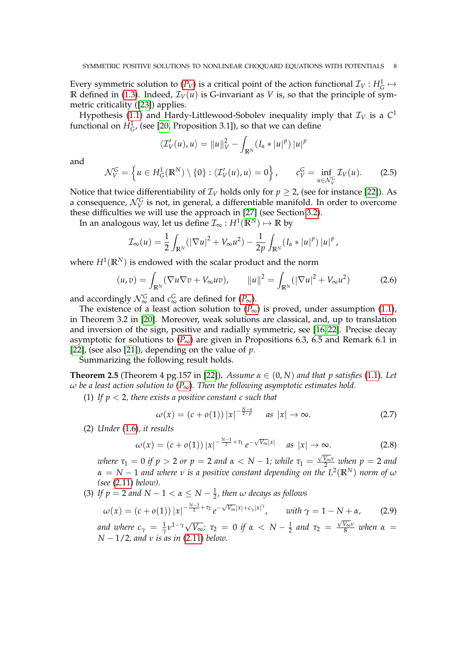Every symmetric solution to  $(P_V)$  $(P_V)$  $(P_V)$  is a critical point of the action functional  $\mathcal{I}_V : H_G^1 \mapsto$ **R** defined in [\(1.3\)](#page-1-1). Indeed,  $\mathcal{I}_V(u)$  is G-invariant as *V* is, so that the principle of symmetric criticality ([\[23\]](#page-33-19)) applies.

Hypothesis [\(1.1\)](#page-0-2) and Hardy-Littlewood-Sobolev inequality imply that  $\mathcal{I}_V$  is a  $C^1$ functional on  $H_G^1$ , (see [\[20,](#page-33-4) Proposition 3.1]), so that we can define

$$
\langle \mathcal{I}'_V(u), u \rangle = ||u||_V^2 - \int_{\mathbb{R}^N} (I_\alpha * |u|^p) |u|^p
$$

and

<span id="page-7-3"></span>
$$
\mathcal{N}_V^G = \left\{ u \in H^1_G(\mathbb{R}^N) \setminus \{0\} : \langle \mathcal{I}_V'(u), u \rangle = 0 \right\}, \qquad c_V^G = \inf_{u \in \mathcal{N}_V^G} \mathcal{I}_V(u). \tag{2.5}
$$

Notice that twice differentiability of  $\mathcal{I}_V$  holds only for  $p \geq 2$ , (see for instance [\[22\]](#page-33-8)). As a consequence,  $\mathcal{N}_{V}^{G}$  is not, in general, a differentiable manifold. In order to overcome these difficulties we will use the approach in [\[27\]](#page-33-15) (see Section [3.2\)](#page-17-0).

In an analogous way, let us define  $\mathcal{I}_\infty : H^1(\mathbb{R}^N) \mapsto \mathbb{R}$  by

$$
\mathcal{I}_{\infty}(u) = \frac{1}{2} \int_{\mathbb{R}^N} (|\nabla u|^2 + V_{\infty} u^2) - \frac{1}{2p} \int_{\mathbb{R}^N} (I_{\alpha} * |u|^p) |u|^p,
$$

where  $H^1(\mathbb{R}^N)$  is endowed with the scalar product and the norm

<span id="page-7-4"></span>
$$
(u,v) = \int_{\mathbb{R}^N} (\nabla u \nabla v + V_{\infty} uv), \qquad ||u||^2 = \int_{\mathbb{R}^N} (|\nabla u|^2 + V_{\infty} u^2)
$$
 (2.6)

and accordingly  $\mathcal{N}_{\infty}^G$  and  $c_{\infty}^G$  are defined for  $(P_{\infty})$  $(P_{\infty})$  $(P_{\infty})$ .

The existence of a least action solution to  $(P_{\infty})$  $(P_{\infty})$  $(P_{\infty})$  is proved, under assumption [\(1.1\)](#page-0-2), in Theorem 3.2 in [\[20\]](#page-33-4). Moreover, weak solutions are classical, and, up to translation and inversion of the sign, positive and radially symmetric, see [\[16,](#page-33-2) [22\]](#page-33-8). Precise decay asymptotic for solutions to  $(P_{\infty})$  $(P_{\infty})$  $(P_{\infty})$  are given in Propositions 6.3, 6.5 and Remark 6.1 in [\[22\]](#page-33-8), (see also [\[21\]](#page-33-5)), depending on the value of *p*.

Summarizing the following result holds.

**Theorem 2.5** (Theorem 4 pg.157 in [\[22\]](#page-33-8)). *Assume*  $\alpha \in (0, N)$  *and that p satisfies* [\(1.1\)](#page-0-2)*.* Let *ω be a least action solution to* (*[P](#page-1-0)*∞)*. Then the following asymptotic estimates hold.*

(1) *If p* < 2*, there exists a positive constant c such that*

<span id="page-7-2"></span>
$$
\omega(x) = (c + o(1)) |x|^{-\frac{N-\alpha}{2-p}} \quad \text{as } |x| \to \infty. \tag{2.7}
$$

(2) *Under* [\(1.6\)](#page-3-4)*, it results*

<span id="page-7-1"></span>
$$
\omega(x) = (c + o(1)) |x|^{-\frac{N-1}{2} + \tau_1} e^{-\sqrt{V_{\infty}}|x|} \quad \text{as } |x| \to \infty.
$$
 (2.8)

*where*  $\tau_1 = 0$  *if*  $p > 2$  *or*  $p = 2$  *and*  $\alpha < N - 1$ *; while*  $\tau_1 =$  $\frac{\sqrt{V_{\infty}}v}{2}$  when  $p = 2$  and  $\alpha = N - 1$  and where  $\nu$  is a positive constant depending on the  $L^2(\mathbb{R}^N)$  norm of  $\omega$ *(see* [\(2.11\)](#page-8-0) *below).*

(3) If  $p = 2$  and  $N - 1 < \alpha \leq N - \frac{1}{2}$ , then  $\omega$  decays as follows

<span id="page-7-0"></span>
$$
\omega(x) = (c + o(1)) |x|^{-\frac{N-1}{2} + \tau_2} e^{-\sqrt{V_{\infty}} |x| + c_{\gamma} |x|^{\gamma}}, \quad \text{with } \gamma = 1 - N + \alpha,
$$
 (2.9)

*and where*  $c_{\gamma} = \frac{1}{\gamma} v^{1-\gamma} \sqrt{V_{\infty}}$ *;*  $\tau_2 = 0$  *if*  $\alpha < N - \frac{1}{2}$  *and*  $\tau_2 =$  $\frac{\sqrt{V_{\infty}}\nu}{8}$  when  $\alpha =$ *N* − 1/2*, and ν is as in* [\(2.11\)](#page-8-0) *below.*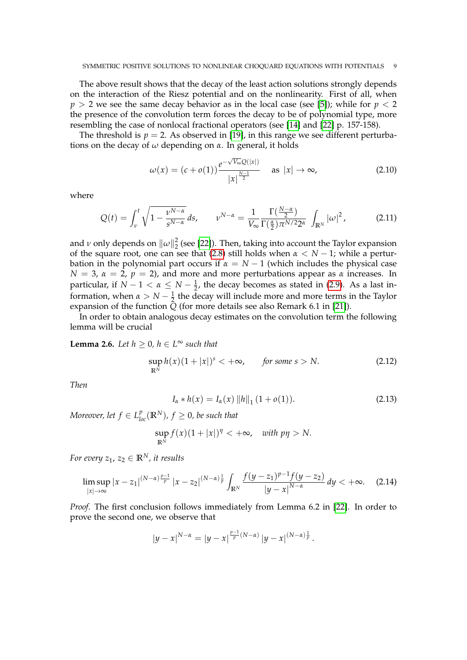The above result shows that the decay of the least action solutions strongly depends on the interaction of the Riesz potential and on the nonlinearity. First of all, when  $p > 2$  we see the same decay behavior as in the local case (see [\[5\]](#page-32-4)); while for  $p < 2$ the presence of the convolution term forces the decay to be of polynomial type, more resembling the case of nonlocal fractional operators (see [\[14\]](#page-33-20) and [\[22\]](#page-33-8) p. 157-158).

The threshold is  $p = 2$ . As observed in [\[19\]](#page-33-12), in this range we see different perturbations on the decay of *ω* depending on *α*. In general, it holds

$$
\omega(x) = (c + o(1)) \frac{e^{-\sqrt{V_{\infty}}Q(|x|)}}{|x|^{\frac{N-1}{2}}} \quad \text{as } |x| \to \infty,
$$
\n(2.10)

where

<span id="page-8-0"></span>
$$
Q(t) = \int_{\nu}^{t} \sqrt{1 - \frac{\nu^{N-\alpha}}{s^{N-\alpha}}} ds, \qquad \nu^{N-\alpha} = \frac{1}{V_{\infty}} \frac{\Gamma(\frac{N-\alpha}{2})}{\Gamma(\frac{\alpha}{2}) \pi^{N/2} 2^{\alpha}} \int_{\mathbb{R}^N} |\omega|^2,
$$
 (2.11)

and *ν* only depends on  $\left\| \omega \right\|_2^2$  $\frac{2}{2}$  (see [\[22\]](#page-33-8)). Then, taking into account the Taylor expansion of the square root, one can see that [\(2.8\)](#page-7-1) still holds when *α* < *N* − 1; while a perturbation in the polynomial part occurs if  $\alpha = N - 1$  (which includes the physical case *N* = 3,  $\alpha$  = 2,  $p$  = 2), and more and more perturbations appear as  $\alpha$  increases. In particular, if  $N-1 < \alpha \leq N-\frac{1}{2}$ , the decay becomes as stated in [\(2.9\)](#page-7-0). As a last information, when  $\alpha > N - \frac{1}{2}$  the decay will include more and more terms in the Taylor expansion of the function  $\overline{Q}$  (for more details see also Remark 6.1 in [\[21\]](#page-33-5)).

In order to obtain analogous decay estimates on the convolution term the following lemma will be crucial

<span id="page-8-2"></span>**Lemma 2.6.** *Let*  $h \geq 0$ *,*  $h \in L^{\infty}$  *such that* 

<span id="page-8-3"></span>
$$
\sup_{\mathbb{R}^N} h(x)(1+|x|)^s < +\infty, \qquad \text{for some } s > N. \tag{2.12}
$$

*Then*

<span id="page-8-1"></span>
$$
I_{\alpha} * h(x) = I_{\alpha}(x) \|h\|_{1} (1 + o(1)).
$$
\n(2.13)

*Moreover, let*  $f \in L^p_{loc}(\mathbb{R}^N)$ *,*  $f \geq 0$ *, be such that* 

$$
\sup_{\mathbb{R}^N} f(x)(1+|x|)^{\eta} < +\infty, \quad \text{with } p\eta > N.
$$

*For every*  $z_1$ ,  $z_2 \in \mathbb{R}^N$ , *it results* 

<span id="page-8-4"></span>
$$
\limsup_{|x|\to\infty} |x-z_1|^{(N-\alpha)\frac{p-1}{p}} |x-z_2|^{(N-\alpha)\frac{1}{p}} \int_{\mathbb{R}^N} \frac{f(y-z_1)^{p-1} f(y-z_2)}{|y-x|^{N-\alpha}} dy < +\infty. \tag{2.14}
$$

*Proof.* The first conclusion follows immediately from Lemma 6.2 in [\[22\]](#page-33-8). In order to prove the second one, we observe that

$$
|y-x|^{N-\alpha} = |y-x|^{\frac{p-1}{p}(N-\alpha)} |y-x|^{(N-\alpha)\frac{1}{p}}.
$$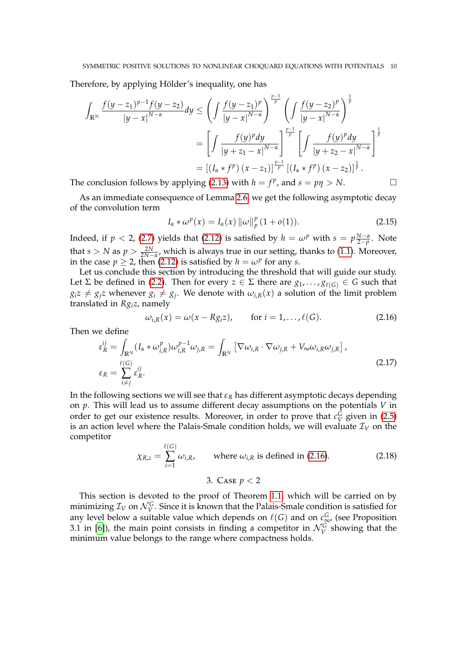Therefore, by applying Hölder's inequality, one has

$$
\int_{\mathbb{R}^N} \frac{f(y-z_1)^{p-1} f(y-z_2)}{|y-x|^{N-\alpha}} dy \le \left( \int \frac{f(y-z_1)^p}{|y-x|^{N-\alpha}} \right)^{\frac{p-1}{p}} \left( \int \frac{f(y-z_2)^p}{|y-x|^{N-\alpha}} \right)^{\frac{1}{p}}
$$

$$
= \left[ \int \frac{f(y)^p dy}{|y+z_1-x|^{N-\alpha}} \right]^{\frac{p-1}{p}} \left[ \int \frac{f(y)^p dy}{|y+z_2-x|^{N-\alpha}} \right]^{\frac{1}{p}}
$$

$$
= \left[ (I_\alpha * f^p) (x-z_1) \right]^{\frac{p-1}{p}} \left[ (I_\alpha * f^p) (x-z_2) \right]^{\frac{1}{p}}.
$$

The conclusion follows by applying [\(2.13\)](#page-8-1) with  $h = f^p$ , and  $s = p\eta > N$ .

As an immediate consequence of Lemma [2.6,](#page-8-2) we get the following asymptotic decay of the convolution term

<span id="page-9-3"></span>
$$
I_{\alpha} * \omega^p(x) = I_{\alpha}(x) ||\omega||_p^p (1 + o(1)).
$$
\n(2.15)

Indeed, if  $p < 2$ , [\(2.7\)](#page-7-2) yields that [\(2.12\)](#page-8-3) is satisfied by  $h = \omega^p$  with  $s = p \frac{N-\alpha}{2-p}$ . Note that *s* > *N* as  $p$  >  $\frac{2N}{2N-\alpha}$ , which is always true in our setting, thanks to [\(1.1\)](#page-0-2). Moreover, in the case  $p \ge 2$ , then [\(2.12\)](#page-8-3) is satisfied by  $h = \omega^p$  for any *s*.

Let us conclude this section by introducing the threshold that will guide our study. Let  $\Sigma$  be defined in [\(2.2\)](#page-5-4). Then for every  $z \in \Sigma$  there are  $g_1, \ldots, g_{\ell(G)} \in G$  such that  $g_i z \neq g_j z$  whenever  $g_i \neq g_j$ . We denote with  $\omega_{i,R}(x)$  a solution of the limit problem translated in *Rgiz*, namely

<span id="page-9-1"></span>
$$
\omega_{i,R}(x) = \omega(x - Rg_i z), \quad \text{for } i = 1, \dots, \ell(G). \tag{2.16}
$$

<span id="page-9-2"></span>Then we define

$$
\varepsilon_R^{ij} = \int_{\mathbb{R}^N} (I_\alpha * \omega_{i,R}^p) \omega_{i,R}^{p-1} \omega_{j,R} = \int_{\mathbb{R}^N} \left[ \nabla \omega_{i,R} \cdot \nabla \omega_{j,R} + V_\infty \omega_{i,R} \omega_{j,R} \right],
$$
\n
$$
\varepsilon_R = \sum_{i \neq j}^{\ell(G)} \varepsilon_R^{ij}.
$$
\n(2.17)

In the following sections we will see that  $\varepsilon_R$  has different asymptotic decays depending on *p*. This will lead us to assume different decay assumptions on the potentials *V* in order to get our existence results. Moreover, in order to prove that  $c_V^G$  given in [\(2.5\)](#page-7-3) is an action level where the Palais-Smale condition holds, we will evaluate  $\mathcal{I}_V$  on the competitor  $\alpha$ 

<span id="page-9-4"></span>
$$
\chi_{R,z} = \sum_{i=1}^{\ell(G)} \omega_{i,R}, \qquad \text{where } \omega_{i,R} \text{ is defined in (2.16).}
$$
 (2.18)

3. CASE 
$$
p < 2
$$

<span id="page-9-0"></span>This section is devoted to the proof of Theorem [1.1,](#page-2-1) which will be carried on by minimizing  $\mathcal{I}_V$  on  $\mathcal{N}_V^G$ . Since it is known that the Palais-Smale condition is satisfied for any level below a suitable value which depends on  $\ell(G)$  and on  $c_{\infty}^G$ , (see Proposition 3.1 in [\[6\]](#page-32-3)), the main point consists in finding a competitor in  $\mathcal{N}_{V}^{G}$  showing that the minimum value belongs to the range where compactness holds.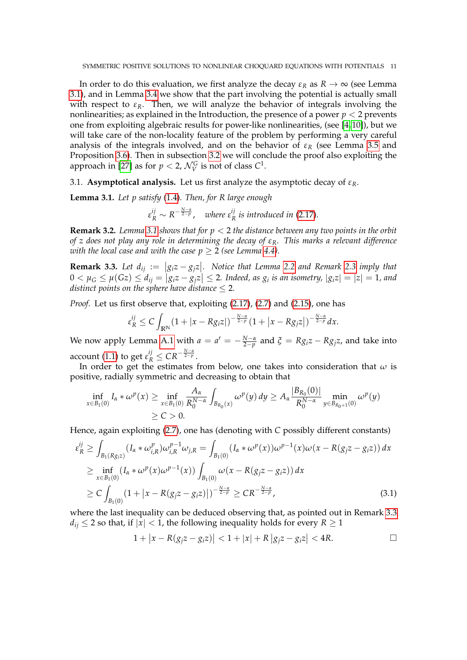In order to do this evaluation, we first analyze the decay  $\varepsilon_R$  as  $R \to \infty$  (see Lemma [3.1\)](#page-10-0), and in Lemma [3.4](#page-11-1) we show that the part involving the potential is actually small with respect to  $\varepsilon_R$ . Then, we will analyze the behavior of integrals involving the nonlinearities; as explained in the Introduction, the presence of a power  $p < 2$  prevents one from exploiting algebraic results for power-like nonlinearities, (see [\[4,](#page-32-0) [10\]](#page-33-14)), but we will take care of the non-locality feature of the problem by performing a very careful analysis of the integrals involved, and on the behavior of  $\varepsilon_R$  (see Lemma [3.5](#page-11-0) and Proposition [3.6\)](#page-14-0). Then in subsection [3.2](#page-17-0) we will conclude the proof also exploiting the approach in [\[27\]](#page-33-15) as for  $p < 2$ ,  $\mathcal{N}_V^G$  is not of class  $C^1$ .

<span id="page-10-3"></span>3.1. **Asymptotical analysis.** Let us first analyze the asymptotic decay of *εR*.

<span id="page-10-0"></span>**Lemma 3.1.** *Let p satisfy* [\(1.4\)](#page-1-2)*. Then, for R large enough*

 $\varepsilon_R^{ij} \sim R^{-\frac{N-\alpha}{2-p}}$ , *where*  $\varepsilon_R^{ij}$ *R is introduced in* [\(2.17\)](#page-9-2).

**Remark 3.2.** *Lemma [3.1](#page-10-0) shows that for p* < 2 *the distance between any two points in the orbit of z does not play any role in determining the decay of εR. This marks a relevant difference with the local case and with the case*  $p \geq 2$  *(see Lemma [4.4\)](#page-27-0).* 

<span id="page-10-1"></span>**Remark 3.3.** Let  $d_{ij} := |g_i z - g_j z|$ . Notice that Lemma [2.2](#page-5-5) and Remark [2.3](#page-6-0) *imply that*  $0 < \mu_G \le \mu(Gz) \le d_{ij} = |g_i z - g_j z| \le 2$ . Indeed, as  $g_i$  is an isometry,  $|g_i z| = |z| = 1$ , and *distinct points on the sphere have distance* ≤ 2*.*

*Proof.* Let us first observe that, exploiting [\(2.17\)](#page-9-2), [\(2.7\)](#page-7-2) and [\(2.15\)](#page-9-3), one has

$$
\varepsilon_R^{ij} \leq C \int_{\mathbb{R}^N} (1+|x-Rg_iz|)^{-\frac{N-\alpha}{2-p}} (1+|x-Rg_jz|)^{-\frac{N-\alpha}{2-p}} dx.
$$

We now apply Lemma [A.1](#page-32-6) with  $a = a' = -\frac{N-a}{2-p}$  and  $\xi = Rg_i z - Rg_j z$ , and take into account [\(1.1\)](#page-0-2) to get  $\varepsilon_R^{ij} \leq CR^{-\frac{N-\alpha}{2-p}}$ .

In order to get the estimates from below, one takes into consideration that *ω* is positive, radially symmetric and decreasing to obtain that

$$
\inf_{x \in B_1(0)} I_{\alpha} * \omega^p(x) \ge \inf_{x \in B_1(0)} \frac{A_{\alpha}}{R_0^{N-\alpha}} \int_{B_{R_0}(x)} \omega^p(y) dy \ge A_{\alpha} \frac{|B_{R_0}(0)|}{R_0^{N-\alpha}} \min_{y \in B_{R_0+1}(0)} \omega^p(y)
$$
  
  $\ge C > 0.$ 

Hence, again exploiting [\(2.7\)](#page-7-2), one has (denoting with *C* possibly different constants)

$$
\varepsilon_{R}^{ij} \geq \int_{B_{1}(Rg_{i}z)} (I_{\alpha} * \omega_{i,R}^{p}) \omega_{i,R}^{p-1} \omega_{j,R} = \int_{B_{1}(0)} (I_{\alpha} * \omega^{p}(x)) \omega^{p-1}(x) \omega(x - R(g_{j}z - g_{i}z)) dx
$$
  
\n
$$
\geq \inf_{x \in B_{1}(0)} (I_{\alpha} * \omega^{p}(x) \omega^{p-1}(x)) \int_{B_{1}(0)} \omega(x - R(g_{j}z - g_{i}z)) dx
$$
  
\n
$$
\geq C \int_{B_{1}(0)} (1 + |x - R(g_{j}z - g_{i}z)|)^{-\frac{N-\alpha}{2-p}} \geq CR^{-\frac{N-\alpha}{2-p}},
$$
\n(3.1)

where the last inequality can be deduced observing that, as pointed out in Remark [3.3](#page-10-1)  $d_{ij} \leq 2$  so that, if  $|x| < 1$ , the following inequality holds for every  $R \geq 1$ 

<span id="page-10-2"></span>
$$
1+|x-R(g_jz-g_iz)| < 1+|x|+R|g_jz-g_iz| < 4R.
$$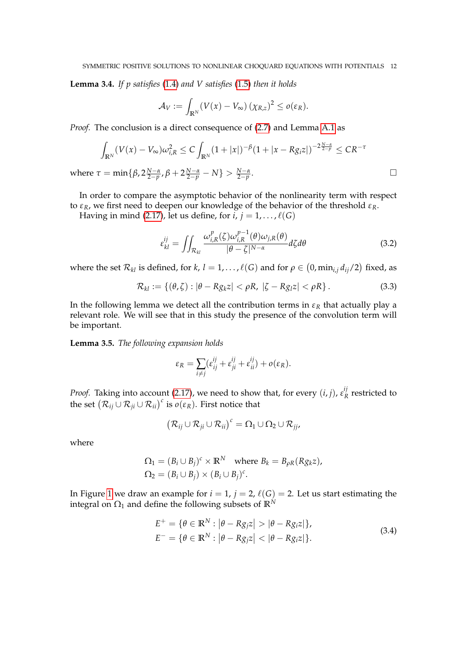<span id="page-11-1"></span>**Lemma 3.4.** *If p satisfies* [\(1.4\)](#page-1-2) *and V satisfies* [\(1.5\)](#page-2-0) *then it holds*

$$
\mathcal{A}_V := \int_{\mathbb{R}^N} (V(x) - V_\infty) (\chi_{R,z})^2 \le o(\varepsilon_R).
$$

*Proof.* The conclusion is a direct consequence of [\(2.7\)](#page-7-2) and Lemma [A.1](#page-32-6) as

$$
\int_{\mathbb{R}^N} (V(x) - V_{\infty}) \omega_{i,R}^2 \le C \int_{\mathbb{R}^N} (1 + |x|)^{-\beta} (1 + |x - Rg_i z|)^{-2\frac{N - \alpha}{2 - p}} \le C R^{-\tau}
$$
  

$$
\tau = \min\{\beta, 2\frac{N - \alpha}{2 - n}, \beta + 2\frac{N - \alpha}{2 - n} - N\} > \frac{N - \alpha}{2 - n}.
$$

 $\text{where } τ = \min\{\beta, 2\frac{N-\alpha}{2-p}, \beta + 2\frac{N-\alpha}{2-p} - N\} > \frac{N-\alpha}{2-p}$ 

In order to compare the asymptotic behavior of the nonlinearity term with respect to *εR*, we first need to deepen our knowledge of the behavior of the threshold *εR*.

Having in mind [\(2.17\)](#page-9-2), let us define, for  $i, j = 1, \ldots, \ell(G)$ 

<span id="page-11-3"></span>
$$
\varepsilon_{kl}^{ij} = \iint_{\mathcal{R}_{kl}} \frac{\omega_{i,R}^p(\zeta)\omega_{i,R}^{p-1}(\theta)\omega_{j,R}(\theta)}{|\theta-\zeta|^{N-\alpha}} d\zeta d\theta \tag{3.2}
$$

where the set  $\mathcal{R}_{kl}$  is defined, for *k*,  $l = 1, ..., \ell(G)$  and for  $\rho \in (0, \min_{i,j} d_{ij}/2)$  fixed, as

<span id="page-11-4"></span>
$$
\mathcal{R}_{kl} := \{(\theta, \zeta) : |\theta - Rg_k z| < \rho R, \ |\zeta - Rg_l z| < \rho R\} \,. \tag{3.3}
$$

In the following lemma we detect all the contribution terms in  $\varepsilon_R$  that actually play a relevant role. We will see that in this study the presence of the convolution term will be important.

<span id="page-11-0"></span>**Lemma 3.5.** *The following expansion holds*

$$
\varepsilon_R = \sum_{i \neq j} (\varepsilon_{ij}^{ij} + \varepsilon_{ji}^{ij} + \varepsilon_{ii}^{ij}) + o(\varepsilon_R).
$$

*Proof.* Taking into account [\(2.17\)](#page-9-2), we need to show that, for every  $(i, j)$ ,  $\varepsilon_{R}^{ij}$  $R$ <sup>*r*</sup><sub>*R*</sub> restricted to the set  $(\mathcal{R}_{ij} \cup \mathcal{R}_{ji} \cup \mathcal{R}_{ii})^c$  is  $o(\varepsilon_R)$ . First notice that

$$
(\mathcal{R}_{ij} \cup \mathcal{R}_{ji} \cup \mathcal{R}_{ii})^c = \Omega_1 \cup \Omega_2 \cup \mathcal{R}_{jj},
$$

where

$$
\Omega_1 = (B_i \cup B_j)^c \times \mathbb{R}^N \text{ where } B_k = B_{\rho R}(Rg_k z),
$$
  
\n
$$
\Omega_2 = (B_i \cup B_j) \times (B_i \cup B_j)^c.
$$

<span id="page-11-2"></span>In Figure [1](#page-12-0) we draw an example for  $i = 1$ ,  $j = 2$ ,  $\ell(G) = 2$ . Let us start estimating the integral on  $\Omega_1$  and define the following subsets of  $\mathbb{R}^N$ 

$$
E^{+} = \{ \theta \in \mathbb{R}^{N} : |\theta - Rg_{j}z| > |\theta - Rg_{i}z| \},
$$
  
\n
$$
E^{-} = \{ \theta \in \mathbb{R}^{N} : |\theta - Rg_{j}z| < |\theta - Rg_{i}z| \}.
$$
\n(3.4)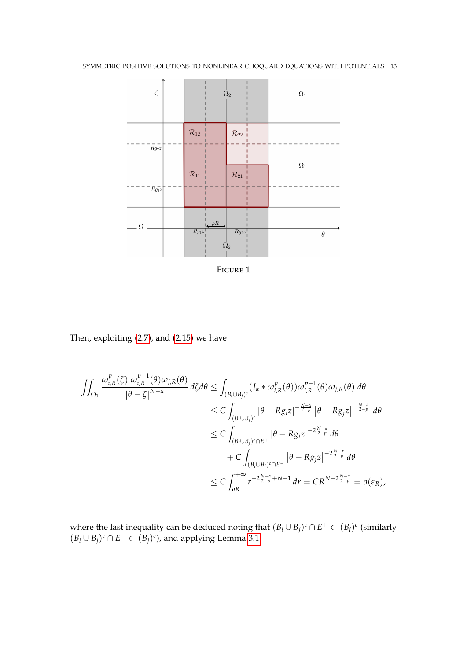<span id="page-12-0"></span>

FIGURE 1

Then, exploiting [\(2.7\)](#page-7-2), and [\(2.15\)](#page-9-3) we have

$$
\iint_{\Omega_{1}} \frac{\omega_{i,R}^{p}(\zeta) \omega_{i,R}^{p-1}(\theta) \omega_{j,R}(\theta)}{|\theta - \zeta|^{N-\alpha}} d\zeta d\theta \leq \int_{(B_{i} \cup B_{j})^{c}} (I_{\alpha} * \omega_{i,R}^{p}(\theta)) \omega_{i,R}^{p-1}(\theta) \omega_{j,R}(\theta) d\theta
$$
  
\n
$$
\leq C \int_{(B_{i} \cup B_{j})^{c}} |\theta - Rg_{i}z|^{-\frac{N-\alpha}{2-p}} |\theta - Rg_{j}z|^{-\frac{N-\alpha}{2-p}} d\theta
$$
  
\n
$$
\leq C \int_{(B_{i} \cup B_{j})^{c} \cap E^{+}} |\theta - Rg_{i}z|^{-2\frac{N-\alpha}{2-p}} d\theta
$$
  
\n
$$
+ C \int_{(B_{i} \cup B_{j})^{c} \cap E^{-}} |\theta - Rg_{j}z|^{-2\frac{N-\alpha}{2-p}} d\theta
$$
  
\n
$$
\leq C \int_{\rho R}^{+\infty} r^{-2\frac{N-\alpha}{2-p} + N-1} dr = CR^{N-2\frac{N-\alpha}{2-p}} = o(\varepsilon_{R}),
$$

where the last inequality can be deduced noting that  $(B_i \cup B_j)^c \cap E^+ \subset (B_i)^c$  (similarly  $(B_i ∪ B_j)^c ∩ E^- ⊂ (B_j)^c$ , and applying Lemma [3.1.](#page-10-0)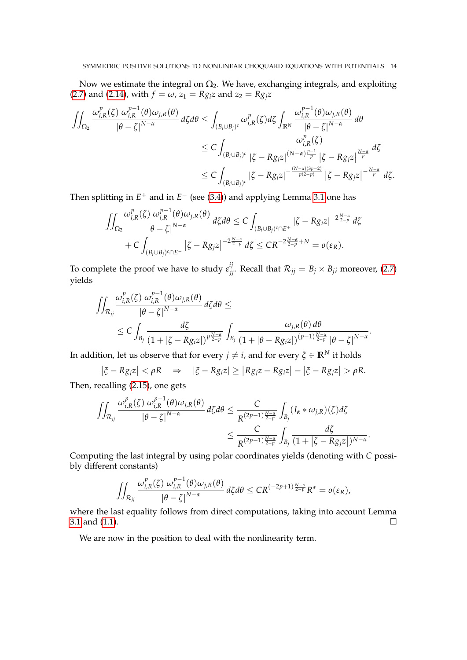Now we estimate the integral on  $\Omega_2$ . We have, exchanging integrals, and exploiting [\(2.7\)](#page-7-2) and [\(2.14\)](#page-8-4), with  $f = \omega$ ,  $z_1 = Rg_i z$  and  $z_2 = Rg_i z$ 

$$
\iint_{\Omega_{2}} \frac{\omega_{i,R}^{p}(\zeta) \omega_{i,R}^{p-1}(\theta) \omega_{j,R}(\theta)}{|\theta - \zeta|^{N-\alpha}} d\zeta d\theta \leq \int_{(B_{i} \cup B_{j})^{c}} \omega_{i,R}^{p}(\zeta) d\zeta \int_{\mathbb{R}^{N}} \frac{\omega_{i,R}^{p-1}(\theta) \omega_{j,R}(\theta)}{|\theta - \zeta|^{N-\alpha}} d\theta
$$
  

$$
\leq C \int_{(B_{i} \cup B_{j})^{c}} \frac{\omega_{i,R}^{p}(\zeta)}{|\zeta - Rg_{i}z|^{(N-\alpha)\frac{p-1}{p}} |\zeta - Rg_{j}z|^{\frac{N-\alpha}{p}}} d\zeta
$$
  

$$
\leq C \int_{(B_{i} \cup B_{j})^{c}} |\zeta - Rg_{i}z|^{-\frac{(N-\alpha)(3p-2)}{p(2-p)}} |\zeta - Rg_{j}z|^{-\frac{N-\alpha}{p}} d\zeta.
$$

Then splitting in  $E^+$  and in  $E^-$  (see [\(3.4\)](#page-11-2)) and applying Lemma [3.1](#page-10-0) one has

$$
\iint_{\Omega_2} \frac{\omega_{i,R}^p(\zeta) \omega_{i,R}^{p-1}(\theta) \omega_{j,R}(\theta)}{|\theta - \zeta|^{N-\alpha}} d\zeta d\theta \le C \int_{(B_i \cup B_j)^c \cap E^+} |\zeta - Rg_i z|^{-2\frac{N-\alpha}{2-p}} d\zeta + C \int_{(B_i \cup B_j)^c \cap E^-} |\zeta - Rg_j z|^{-2\frac{N-\alpha}{2-p}} d\zeta \le C R^{-2\frac{N-\alpha}{2-p}+N} = o(\varepsilon_R).
$$

To complete the proof we have to study  $\varepsilon_{jj}^{ij}$ . Recall that  $\mathcal{R}_{jj} = B_j \times B_j$ ; moreover, [\(2.7\)](#page-7-2) yields

$$
\iint_{\mathcal{R}_{jj}} \frac{\omega_{i,R}^{p}(\zeta) \omega_{i,R}^{p-1}(\theta) \omega_{j,R}(\theta)}{|\theta - \zeta|^{N-\alpha}} d\zeta d\theta \leq
$$
\n
$$
\leq C \int_{B_{j}} \frac{d\zeta}{(1 + |\zeta - Rg_{i}z|)^{p\frac{N-\alpha}{2-p}}} \int_{B_{j}} \frac{\omega_{j,R}(\theta) d\theta}{(1 + |\theta - Rg_{i}z|)^{(p-1)\frac{N-\alpha}{2-p}} |\theta - \zeta|^{N-\alpha}}.
$$

In addition, let us observe that for every *j*  $\neq$  *i*, and for every  $\zeta \in \mathbb{R}^N$  it holds

$$
|\xi - Rg_j z| < \rho R \quad \Rightarrow \quad |\xi - Rg_i z| \ge |Rg_j z - Rg_i z| - |\xi - Rg_j z| > \rho R.
$$

Then, recalling [\(2.15\)](#page-9-3), one gets

*p*−1

$$
\iint_{\mathcal{R}_{jj}}\frac{\omega_{i,R}^p(\zeta)\,\omega_{i,R}^{p-1}(\theta)\omega_{j,R}(\theta)}{|\theta-\zeta|^{N-\alpha}}\,d\zeta d\theta\leq \frac{C}{R^{(2p-1)\frac{N-\alpha}{2-p}}}\int_{B_j}(I_\alpha*\omega_{j,R})(\zeta)d\zeta
$$

$$
\leq \frac{C}{R^{(2p-1)\frac{N-\alpha}{2-p}}}\int_{B_j}\frac{d\zeta}{(1+|\zeta-Rg_jz|)^{N-\alpha}}.
$$

Computing the last integral by using polar coordinates yields (denoting with *C* possibly different constants)

$$
\iint_{\mathcal{R}_{jj}}\frac{\omega_{i,R}^p(\zeta)\,\omega_{i,R}^{p-1}(\theta)\omega_{j,R}(\theta)}{|\theta-\zeta|^{N-\alpha}}\,d\zeta d\theta\leq CR^{(-2p+1)\frac{N-\alpha}{2-p}}R^{\alpha}=o(\varepsilon_R),
$$

where the last equality follows from direct computations, taking into account Lemma [3.1](#page-10-0) and [\(1.1\)](#page-0-2).  $\square$ 

We are now in the position to deal with the nonlinearity term.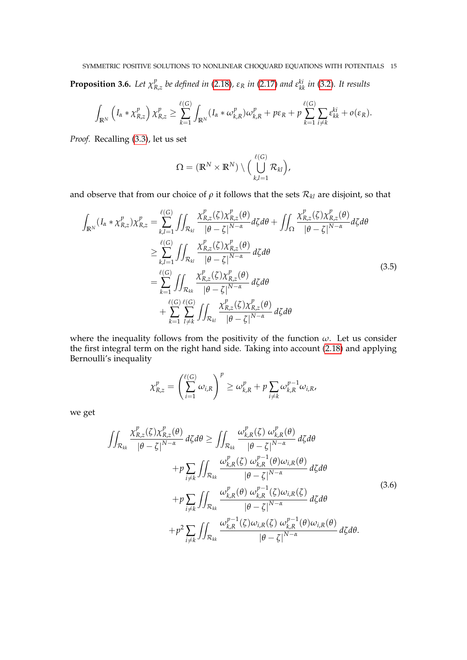<span id="page-14-0"></span>**Proposition 3.6.** Let  $\chi^p_k$  $R_{\lambda z}$  *be defined in* [\(2.18\)](#page-9-4),  $\varepsilon_R$  *in* [\(2.17\)](#page-9-2) *and*  $\varepsilon_{kk}^{ki}$  *in* [\(3.2\)](#page-11-3)*. It results* 

$$
\int_{\mathbb{R}^N} \left( I_{\alpha} * \chi_{R,z}^p \right) \chi_{R,z}^p \geq \sum_{k=1}^{\ell(G)} \int_{\mathbb{R}^N} (I_{\alpha} * \omega_{k,R}^p) \omega_{k,R}^p + p \varepsilon_R + p \sum_{k=1}^{\ell(G)} \sum_{i \neq k} \varepsilon_{kk}^{ki} + o(\varepsilon_R).
$$

*Proof.* Recalling [\(3.3\)](#page-11-4), let us set

$$
\Omega = (\mathbb{R}^N \times \mathbb{R}^N) \setminus \Big(\bigcup_{k,l=1}^{\ell(G)} \mathcal{R}_{kl}\Big),
$$

and observe that from our choice of  $\rho$  it follows that the sets  $\mathcal{R}_{kl}$  are disjoint, so that

<span id="page-14-2"></span>
$$
\int_{\mathbb{R}^N} (I_{\alpha} * \chi_{R,z}^p) \chi_{R,z}^p = \sum_{k,l=1}^{\ell(G)} \iint_{\mathcal{R}_{kl}} \frac{\chi_{R,z}^p(\zeta) \chi_{R,z}^p(\theta)}{|\theta - \zeta|^{N-\alpha}} d\zeta d\theta + \iint_{\Omega} \frac{\chi_{R,z}^p(\zeta) \chi_{R,z}^p(\theta)}{|\theta - \zeta|^{N-\alpha}} d\zeta d\theta
$$
\n
$$
\geq \sum_{k,l=1}^{\ell(G)} \iint_{\mathcal{R}_{kl}} \frac{\chi_{R,z}^p(\zeta) \chi_{R,z}^p(\theta)}{|\theta - \zeta|^{N-\alpha}} d\zeta d\theta
$$
\n
$$
= \sum_{k=1}^{\ell(G)} \iint_{\mathcal{R}_{kk}} \frac{\chi_{R,z}^p(\zeta) \chi_{R,z}^p(\theta)}{|\theta - \zeta|^{N-\alpha}} d\zeta d\theta
$$
\n
$$
+ \sum_{k=1}^{\ell(G)} \iint_{\mathcal{R}_{kl}} \frac{\chi_{R,z}^p(\zeta) \chi_{R,z}^p(\theta)}{|\theta - \zeta|^{N-\alpha}} d\zeta d\theta
$$
\n(3.5)

where the inequality follows from the positivity of the function  $\omega$ . Let us consider the first integral term on the right hand side. Taking into account [\(2.18\)](#page-9-4) and applying Bernoulli's inequality

$$
\chi_{R,z}^p = \left(\sum_{i=1}^{\ell(G)} \omega_{i,R}\right)^p \ge \omega_{k,R}^p + p \sum_{i \neq k} \omega_{k,R}^{p-1} \omega_{i,R},
$$

we get

<span id="page-14-1"></span>
$$
\iint_{\mathcal{R}_{kk}} \frac{\chi_{R,z}^{p}(\zeta)\chi_{R,z}^{p}(\theta)}{|\theta-\zeta|^{N-\alpha}} d\zeta d\theta \geq \iint_{\mathcal{R}_{kk}} \frac{\omega_{k,R}^{p}(\zeta) \omega_{k,R}^{p}(\theta)}{|\theta-\zeta|^{N-\alpha}} d\zeta d\theta \n+ p \sum_{i \neq k} \iint_{\mathcal{R}_{kk}} \frac{\omega_{k,R}^{p}(\zeta) \omega_{k,R}^{p-1}(\theta) \omega_{i,R}(\theta)}{|\theta-\zeta|^{N-\alpha}} d\zeta d\theta \n+ p \sum_{i \neq k} \iint_{\mathcal{R}_{kk}} \frac{\omega_{k,R}^{p}(\theta) \omega_{k,R}^{p-1}(\zeta) \omega_{i,R}(\zeta)}{|\theta-\zeta|^{N-\alpha}} d\zeta d\theta \n+ p^{2} \sum_{i \neq k} \iint_{\mathcal{R}_{kk}} \frac{\omega_{k,R}^{p-1}(\zeta) \omega_{i,R}(\zeta) \omega_{k,R}^{p-1}(\theta) \omega_{i,R}(\theta)}{|\theta-\zeta|^{N-\alpha}} d\zeta d\theta.
$$
\n(3.6)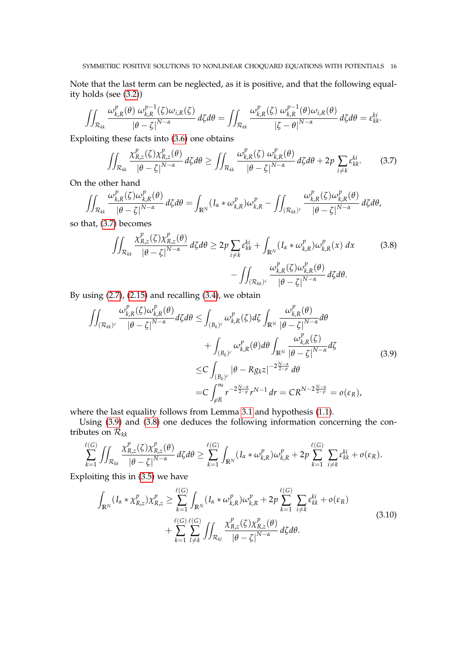Note that the last term can be neglected, as it is positive, and that the following equality holds (see [\(3.2\)](#page-11-3))

$$
\iint_{\mathcal{R}_{kk}} \frac{\omega_{k,R}^p(\theta) \omega_{k,R}^{p-1}(\zeta) \omega_{i,R}(\zeta)}{|\theta - \zeta|^{N-\alpha}} d\zeta d\theta = \iint_{\mathcal{R}_{kk}} \frac{\omega_{k,R}^p(\zeta) \omega_{k,R}^{p-1}(\theta) \omega_{i,R}(\theta)}{|\zeta - \theta|^{N-\alpha}} d\zeta d\theta = \varepsilon_{kk}^{ki}.
$$

Exploiting these facts into [\(3.6\)](#page-14-1) one obtains

<span id="page-15-0"></span>
$$
\iint_{\mathcal{R}_{kk}} \frac{\chi_{R,z}^p(\zeta)\chi_{R,z}^p(\theta)}{\left|\theta-\zeta\right|^{N-\alpha}} d\zeta d\theta \ge \iint_{\mathcal{R}_{kk}} \frac{\omega_{k,R}^p(\zeta)\,\omega_{k,R}^p(\theta)}{\left|\theta-\zeta\right|^{N-\alpha}} d\zeta d\theta + 2p \sum_{i \neq k} \varepsilon_{kk}^{ki}.\tag{3.7}
$$

On the other hand

$$
\iint_{\mathcal{R}_{kk}} \frac{\omega_{k,R}^p(\zeta)\omega_{k,R}^p(\theta)}{|\theta-\zeta|^{N-\alpha}} d\zeta d\theta = \int_{\mathbb{R}^N} (I_\alpha * \omega_{k,R}^p) \omega_{k,R}^p - \iint_{(\mathcal{R}_{kk})^c} \frac{\omega_{k,R}^p(\zeta)\omega_{k,R}^p(\theta)}{|\theta-\zeta|^{N-\alpha}} d\zeta d\theta,
$$

so that, [\(3.7\)](#page-15-0) becomes

<span id="page-15-2"></span>
$$
\iint_{\mathcal{R}_{kk}} \frac{\chi_{R,z}^{p}(\zeta)\chi_{R,z}^{p}(\theta)}{|\theta-\zeta|^{N-\alpha}} d\zeta d\theta \geq 2p \sum_{i\neq k} \varepsilon_{kk}^{ki} + \int_{\mathbb{R}^{N}} (I_{\alpha} * \omega_{k,R}^{p})\omega_{k,R}^{p}(x) dx
$$
\n
$$
- \iint_{(\mathcal{R}_{kk})^{c}} \frac{\omega_{k,R}^{p}(\zeta)\omega_{k,R}^{p}(\theta)}{|\theta-\zeta|^{N-\alpha}} d\zeta d\theta.
$$
\n(3.8)

By using  $(2.7)$ ,  $(2.15)$  and recalling  $(3.4)$ , we obtain

<span id="page-15-1"></span>
$$
\iint_{(\mathcal{R}_{kk})^c} \frac{\omega_{k,R}^p(\zeta)\omega_{k,R}^p(\theta)}{|\theta-\zeta|^{N-\alpha}} d\zeta d\theta \le \int_{(B_k)^c} \omega_{k,R}^p(\zeta) d\zeta \int_{\mathbb{R}^N} \frac{\omega_{k,R}^p(\theta)}{|\theta-\zeta|^{N-\alpha}} d\theta \n+ \int_{(B_k)^c} \omega_{k,R}^p(\theta) d\theta \int_{\mathbb{R}^N} \frac{\omega_{k,R}^p(\zeta)}{|\theta-\zeta|^{N-\alpha}} d\zeta \n\le C \int_{(B_k)^c} |\theta - Rg_k z|^{-2\frac{N-\alpha}{2-p}} d\theta \n= C \int_{\rho R}^{\infty} r^{-2\frac{N-\alpha}{2-p}} r^{N-1} dr = C R^{N-2\frac{N-\alpha}{2-p}} = o(\varepsilon_R),
$$
\n(3.9)

where the last equality follows from Lemma [3.1](#page-10-0) and hypothesis [\(1.1\)](#page-0-2).

Using [\(3.9\)](#page-15-1) and [\(3.8\)](#page-15-2) one deduces the following information concerning the contributes on  $\mathcal{R}_{kk}$ 

$$
\sum_{k=1}^{\ell(G)}\iint_{\mathcal{R}_{kk}}\frac{\chi_{R,z}^p(\zeta)\chi_{R,z}^p(\theta)}{|\theta-\zeta|^{N-\alpha}}\,d\zeta d\theta\geq \sum_{k=1}^{\ell(G)}\int_{\mathbb{R}^N}(I_\alpha*\omega_{k,R}^p)\omega_{k,R}^p+2p\sum_{k=1}^{\ell(G)}\sum_{i\neq k}\varepsilon_{kk}^{ki}+o(\varepsilon_R).
$$

Exploiting this in [\(3.5\)](#page-14-2) we have

<span id="page-15-3"></span>
$$
\int_{\mathbb{R}^N} (I_{\alpha} * \chi_{R,z}^p) \chi_{R,z}^p \geq \sum_{k=1}^{\ell(G)} \int_{\mathbb{R}^N} (I_{\alpha} * \omega_{k,R}^p) \omega_{k,R}^p + 2p \sum_{k=1}^{\ell(G)} \sum_{i \neq k} \varepsilon_{kk}^{ki} + o(\varepsilon_R) + \sum_{k=1}^{\ell(G)} \sum_{l \neq k} \int_{\mathcal{R}_{kl}} \frac{\chi_{R,z}^p(\zeta) \chi_{R,z}^p(\theta)}{|\theta - \zeta|^{N-\alpha}} d\zeta d\theta.
$$
\n(3.10)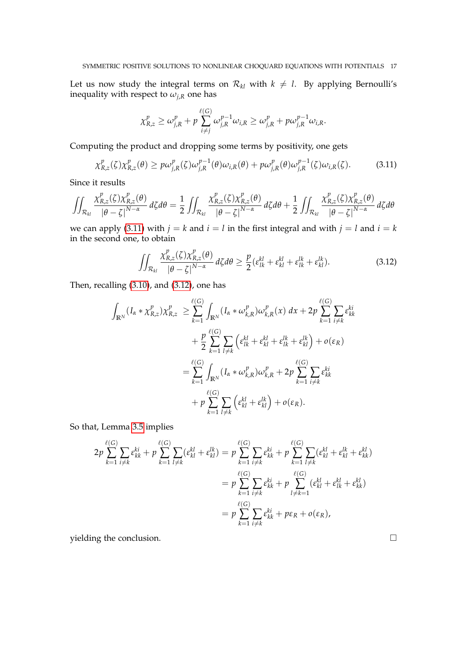Let us now study the integral terms on  $\mathcal{R}_{kl}$  with  $k \neq l$ . By applying Bernoulli's inequality with respect to  $\omega_{j,R}$  one has

$$
\chi_{R,z}^p \geq \omega_{j,R}^p + p \sum_{i \neq j}^{\ell(G)} \omega_{j,R}^{p-1} \omega_{i,R} \geq \omega_{j,R}^p + p \omega_{j,R}^{p-1} \omega_{i,R}.
$$

Computing the product and dropping some terms by positivity, one gets

<span id="page-16-0"></span>
$$
\chi_{R,z}^p(\zeta)\chi_{R,z}^p(\theta) \ge p\omega_{j,R}^p(\zeta)\omega_{j,R}^{p-1}(\theta)\omega_{i,R}(\theta) + p\omega_{j,R}^p(\theta)\omega_{j,R}^{p-1}(\zeta)\omega_{i,R}(\zeta).
$$
 (3.11)

Since it results

$$
\iint_{\mathcal{R}_{kl}} \frac{\chi_{R,z}^p(\zeta)\chi_{R,z}^p(\theta)}{\left|\theta-\zeta\right|^{N-\alpha}} d\zeta d\theta = \frac{1}{2} \iint_{\mathcal{R}_{kl}} \frac{\chi_{R,z}^p(\zeta)\chi_{R,z}^p(\theta)}{\left|\theta-\zeta\right|^{N-\alpha}} d\zeta d\theta + \frac{1}{2} \iint_{\mathcal{R}_{kl}} \frac{\chi_{R,z}^p(\zeta)\chi_{R,z}^p(\theta)}{\left|\theta-\zeta\right|^{N-\alpha}} d\zeta d\theta
$$

we can apply [\(3.11\)](#page-16-0) with  $j = k$  and  $i = l$  in the first integral and with  $j = l$  and  $i = k$ in the second one, to obtain

<span id="page-16-1"></span>
$$
\iint_{\mathcal{R}_{kl}} \frac{\chi_{R,z}^p(\zeta)\chi_{R,z}^p(\theta)}{|\theta-\zeta|^{N-\alpha}} d\zeta d\theta \ge \frac{p}{2}(\varepsilon_{lk}^{kl} + \varepsilon_{kl}^{kl} + \varepsilon_{lk}^{lk} + \varepsilon_{kl}^{lk}).
$$
\n(3.12)

Then, recalling [\(3.10\)](#page-15-3), and [\(3.12\)](#page-16-1), one has

$$
\int_{\mathbb{R}^N} (I_{\alpha} * \chi_{R,z}^p) \chi_{R,z}^p \geq \sum_{k=1}^{\ell(G)} \int_{\mathbb{R}^N} (I_{\alpha} * \omega_{k,R}^p) \omega_{k,R}^p(x) dx + 2p \sum_{k=1}^{\ell(G)} \sum_{i \neq k} \varepsilon_{kk}^{ki} \n+ \frac{p}{2} \sum_{k=1}^{\ell(G)} \sum_{l \neq k} \left( \varepsilon_{lk}^{kl} + \varepsilon_{kl}^{kl} + \varepsilon_{lk}^{lk} + \varepsilon_{kl}^{lk} \right) + o(\varepsilon_R) \n= \sum_{k=1}^{\ell(G)} \int_{\mathbb{R}^N} (I_{\alpha} * \omega_{k,R}^p) \omega_{k,R}^p + 2p \sum_{k=1}^{\ell(G)} \sum_{i \neq k} \varepsilon_{kk}^{ki} \n+ p \sum_{k=1}^{\ell(G)} \sum_{l \neq k} \left( \varepsilon_{kl}^{kl} + \varepsilon_{kl}^{lk} \right) + o(\varepsilon_R).
$$

So that, Lemma [3.5](#page-11-0) implies

$$
2p \sum_{k=1}^{\ell(G)} \sum_{i \neq k} \varepsilon_{kk}^{ki} + p \sum_{k=1}^{\ell(G)} \sum_{l \neq k} (\varepsilon_{kl}^{kl} + \varepsilon_{kl}^{lk}) = p \sum_{k=1}^{\ell(G)} \sum_{i \neq k} \varepsilon_{kk}^{ki} + p \sum_{k=1}^{\ell(G)} \sum_{l \neq k} (\varepsilon_{kl}^{kl} + \varepsilon_{kl}^{lk} + \varepsilon_{kk}^{kl})
$$

$$
= p \sum_{k=1}^{\ell(G)} \sum_{i \neq k} \varepsilon_{kk}^{ki} + p \sum_{l \neq k=1}^{\ell(G)} (\varepsilon_{kl}^{kl} + \varepsilon_{lk}^{kl} + \varepsilon_{kk}^{kl})
$$

$$
= p \sum_{k=1}^{\ell(G)} \sum_{i \neq k} \varepsilon_{kk}^{ki} + p\varepsilon_R + o(\varepsilon_R),
$$

yielding the conclusion.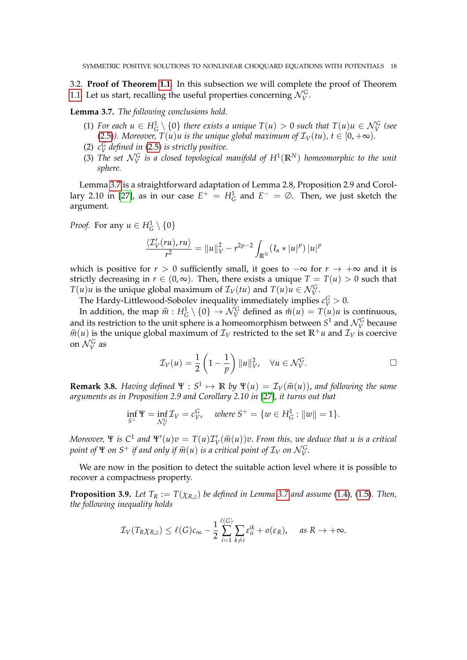<span id="page-17-0"></span>3.2. **Proof of Theorem [1.1.](#page-2-1)** In this subsection we will complete the proof of Theorem [1.1.](#page-2-1) Let us start, recalling the useful properties concerning  $\mathcal{N}_{V}^{G}$ .

<span id="page-17-1"></span>**Lemma 3.7.** *The following conclusions hold.*

- (1) For each  $u \in H_G^1 \setminus \{0\}$  there exists a unique  $T(u) > 0$  such that  $T(u)u \in \mathcal{N}_V^G$  (see [\(2.5\)](#page-7-3)*). Moreover,*  $T(u)u$  is the unique global maximum of  $\mathcal{I}_V(tu)$ ,  $t \in [0, +\infty)$ .
- (2)  $c_V^G$  *defined in* [\(2.5\)](#page-7-3) *is strictly positive.*
- (3) The set  $\mathcal{N}_{V}^{G}$  is a closed topological manifold of  $H^{1}(\mathbb{R}^{N})$  homeomorphic to the unit *sphere.*

Lemma [3.7](#page-17-1) is a straightforward adaptation of Lemma 2.8, Proposition 2.9 and Corol-lary 2.10 in [\[27\]](#page-33-15), as in our case  $E^+ = H_G^1$  and  $E^- = \emptyset$ . Then, we just sketch the argument.

*Proof.* For any  $u \in H_G^1 \setminus \{0\}$ 

$$
\frac{\langle \mathcal{I}'_V(ru),ru\rangle}{r^2} = ||u||_V^2 - r^{2p-2} \int_{\mathbb{R}^N} (I_\alpha * |u|^p) |u|^p
$$

which is positive for  $r > 0$  sufficiently small, it goes to  $-\infty$  for  $r \to +\infty$  and it is strictly decreasing in  $r \in (0, \infty)$ . Then, there exists a unique  $T = T(u) > 0$  such that *T*(*u*)*u* is the unique global maximum of  $\mathcal{I}_V(tu)$  and  $T(u)u \in \mathcal{N}_V^G$ .

The Hardy-Littlewood-Sobolev inequality immediately implies  $c_V^G > 0$ .

In addition, the map  $\hat{m}$  :  $H_G^1 \setminus \{0\} \to \mathcal{N}_G^G$  defined as  $\hat{m}(u) = T(u)u$  is continuous, and its restriction to the unit sphere is a homeomorphism between  $S^1$  and  $\mathcal{N}_V^G$  because  $\hat{m}(u)$  is the unique global maximum of  $\mathcal{I}_V$  restricted to the set  $\mathbb{R}^+u$  and  $\mathcal{I}_V$  is coercive on  $\mathcal{N}_V^G$  as

$$
\mathcal{I}_V(u) = \frac{1}{2} \left( 1 - \frac{1}{p} \right) \|u\|_V^2, \quad \forall u \in \mathcal{N}_V^G.
$$

**Remark 3.8.** *Having defined*  $\Psi : S^1 \mapsto \mathbb{R}$  *by*  $\Psi(u) = \mathcal{I}_V(\hat{m}(u))$ , and following the same arouments as in Proposition 2.9 and Corollary 2.10 in [27] it turns out that *arguments as in Proposition 2.9 and Corollary 2.10 in* [\[27\]](#page-33-15)*, it turns out that*

$$
\inf_{S^+} \Psi = \inf_{\mathcal{N}_V^G} \mathcal{I}_V = c_V^G, \quad \text{where } S^+ = \{ w \in H_G^1 : ||w|| = 1 \}.
$$

*Moreover,*  $\Psi$  *is*  $C^1$  *and*  $\Psi'(u)v = T(u)T_V'(\widehat{m}(u))v$ . *From this, we deduce that u is a critical noint of*  $\Psi$  *cu*  $S^+$  *if and only if*  $\widehat{m}(u)$  *is a critical noint of*  $\mathcal{T}$  *cu*  $N$ *point of*  $\Psi$  *on*  $S^+$  *if and only if*  $\widehat{m}(u)$  *is a critical point of*  $\mathcal{I}_V$  *on*  $\mathcal{N}_V^G$ *.* 

We are now in the position to detect the suitable action level where it is possible to recover a compactness property.

<span id="page-17-2"></span>**Proposition 3.9.** *Let*  $T_R := T(\chi_{R,z})$  *be defined in Lemma* [3.7](#page-17-1) *and assume* [\(1.4\)](#page-1-2), [\(1.5\)](#page-2-0)*. Then, the following inequality holds*

$$
\mathcal{I}_V(T_R\chi_{R,z}) \leq \ell(G)c_{\infty} - \frac{1}{2}\sum_{i=1}^{\ell(G)}\sum_{k\neq i}\varepsilon_{ii}^{ik} + o(\varepsilon_R), \quad \text{as } R \to +\infty.
$$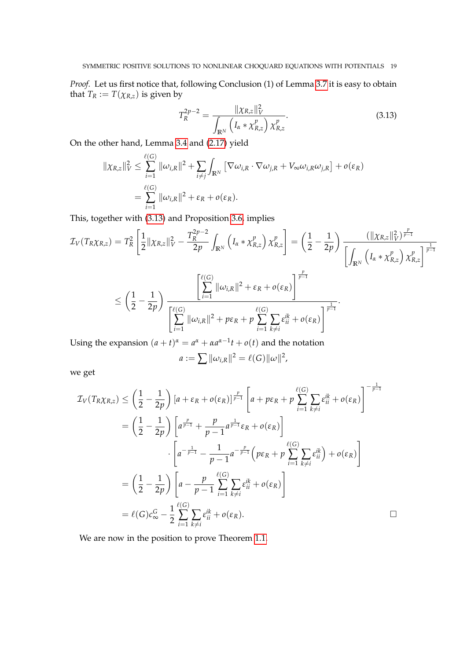*Proof.* Let us first notice that, following Conclusion (1) of Lemma [3.7](#page-17-1) it is easy to obtain that  $T_R := T(\chi_{R,z})$  is given by

<span id="page-18-0"></span>
$$
T_R^{2p-2} = \frac{\|\chi_{R,z}\|_V^2}{\int_{\mathbb{R}^N} \left(I_\alpha * \chi_{R,z}^p\right) \chi_{R,z}^p}.
$$
 (3.13)

On the other hand, Lemma [3.4](#page-11-1) and [\(2.17\)](#page-9-2) yield

$$
\|\chi_{R,z}\|_{V}^{2} \leq \sum_{i=1}^{\ell(G)} \|\omega_{i,R}\|^{2} + \sum_{i \neq j} \int_{\mathbb{R}^{N}} \left[ \nabla \omega_{i,R} \cdot \nabla \omega_{j,R} + V_{\infty} \omega_{i,R} \omega_{j,R} \right] + o(\varepsilon_{R})
$$
  
= 
$$
\sum_{i=1}^{\ell(G)} \|\omega_{i,R}\|^{2} + \varepsilon_{R} + o(\varepsilon_{R}).
$$

This, together with [\(3.13\)](#page-18-0) and Proposition [3.6,](#page-14-0) implies

$$
\mathcal{I}_{V}(T_{R}\chi_{R,z}) = T_{R}^{2} \left[ \frac{1}{2} ||\chi_{R,z}||_{V}^{2} - \frac{T_{R}^{2p-2}}{2p} \int_{\mathbb{R}^{N}} \left( I_{\alpha} * \chi_{R,z}^{p} \right) \chi_{R,z}^{p} \right] = \left( \frac{1}{2} - \frac{1}{2p} \right) \frac{(||\chi_{R,z}||_{V}^{2})^{\frac{p}{p-1}}}{\left[ \int_{\mathbb{R}^{N}} \left( I_{\alpha} * \chi_{R,z}^{p} \right) \chi_{R,z}^{p} \right]^{\frac{1}{p-1}}} \times \left[ \frac{2}{2} - \frac{1}{2p} \right) \frac{1}{\left[ \int_{\mathbb{R}^{N}} \left( I_{\alpha} * \chi_{R,z}^{p} \right) \chi_{R,z}^{p} \right]^{\frac{1}{p-1}}} \times \left[ \frac{2}{2} - \frac{1}{2p} \right) \frac{1}{\left[ \sum_{i=1}^{\ell(G)} ||\omega_{i,R}||^{2} + \varepsilon_{R} + o(\varepsilon_{R}) \right]^{\frac{p}{p-1}}} \cdot \frac{1}{\left[ \sum_{i=1}^{\ell(G)} ||\omega_{i,R}||^{2} + p\varepsilon_{R} + p \sum_{i=1}^{\ell(G)} \sum_{k \neq i} \varepsilon_{ii}^{ik} + o(\varepsilon_{R}) \right]^{\frac{1}{p-1}}}.
$$

Using the expansion  $(a + t)^{\alpha} = a^{\alpha} + \alpha a^{\alpha-1}t + o(t)$  and the notation

$$
a := \sum ||\omega_{i,R}||^2 = \ell(G) ||\omega||^2,
$$

we get

$$
\mathcal{I}_{V}(T_{R}\chi_{R,z}) \leq \left(\frac{1}{2} - \frac{1}{2p}\right) \left[a + \varepsilon_{R} + o(\varepsilon_{R})\right]^{\frac{p}{p-1}} \left[a + p\varepsilon_{R} + p \sum_{i=1}^{\ell(G)} \sum_{k \neq i} \varepsilon_{ii}^{ik} + o(\varepsilon_{R})\right]^{-\frac{1}{p-1}}
$$
\n
$$
= \left(\frac{1}{2} - \frac{1}{2p}\right) \left[a^{\frac{p}{p-1}} + \frac{p}{p-1}a^{\frac{1}{p-1}}\varepsilon_{R} + o(\varepsilon_{R})\right]
$$
\n
$$
\cdot \left[a^{-\frac{1}{p-1}} - \frac{1}{p-1}a^{-\frac{p}{p-1}}\left(p\varepsilon_{R} + p \sum_{i=1}^{\ell(G)} \sum_{k \neq i} \varepsilon_{ii}^{ik}\right) + o(\varepsilon_{R})\right]
$$
\n
$$
= \left(\frac{1}{2} - \frac{1}{2p}\right) \left[a - \frac{p}{p-1} \sum_{i=1}^{\ell(G)} \sum_{k \neq i} \varepsilon_{ii}^{ik} + o(\varepsilon_{R})\right]
$$
\n
$$
= \ell(G)c_{\infty}^{G} - \frac{1}{2} \sum_{i=1}^{\ell(G)} \sum_{k \neq i} \varepsilon_{ii}^{ik} + o(\varepsilon_{R}).
$$

We are now in the position to prove Theorem [1.1.](#page-2-1)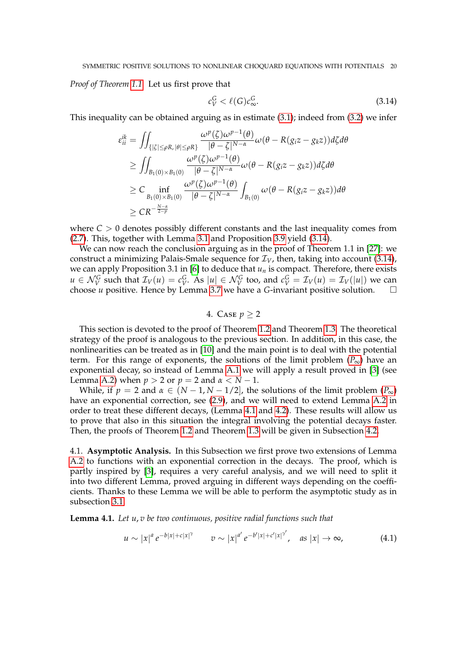*Proof of Theorem [1.1.](#page-2-1)* Let us first prove that

<span id="page-19-2"></span>
$$
c_V^G < \ell(G)c_\infty^G. \tag{3.14}
$$

This inequality can be obtained arguing as in estimate [\(3.1\)](#page-10-2); indeed from [\(3.2\)](#page-11-3) we infer

$$
\varepsilon_{ii}^{ik} = \iint_{\{|\zeta| \le \rho R, |\theta| \le \rho R\}} \frac{\omega^p(\zeta) \omega^{p-1}(\theta)}{|\theta - \zeta|^{N-\alpha}} \omega(\theta - R(g_i z - g_k z)) d\zeta d\theta
$$
  
\n
$$
\ge \iint_{B_1(0) \times B_1(0)} \frac{\omega^p(\zeta) \omega^{p-1}(\theta)}{|\theta - \zeta|^{N-\alpha}} \omega(\theta - R(g_i z - g_k z)) d\zeta d\theta
$$
  
\n
$$
\ge C \inf_{B_1(0) \times B_1(0)} \frac{\omega^p(\zeta) \omega^{p-1}(\theta)}{|\theta - \zeta|^{N-\alpha}} \int_{B_1(0)} \omega(\theta - R(g_i z - g_k z)) d\theta
$$
  
\n
$$
\ge C R^{-\frac{N-\alpha}{2-p}}
$$

where  $C > 0$  denotes possibly different constants and the last inequality comes from [\(2.7\)](#page-7-2). This, together with Lemma [3.1](#page-10-0) and Proposition [3.9](#page-17-2) yield [\(3.14\)](#page-19-2).

We can now reach the conclusion arguing as in the proof of Theorem 1.1 in [\[27\]](#page-33-15): we construct a minimizing Palais-Smale sequence for  $\mathcal{I}_V$ , then, taking into account [\(3.14\)](#page-19-2), we can apply Proposition 3.1 in [\[6\]](#page-32-3) to deduce that  $u_n$  is compact. Therefore, there exists  $u \in \mathcal{N}_V^G$  such that  $\mathcal{I}_V(u) = c_V^G$ . As  $|u| \in \mathcal{N}_V^G$  too, and  $c_V^G = \mathcal{I}_V(u) = \mathcal{I}_V(|u|)$  we can choose *u* positive. Hence by Lemma [3.7](#page-17-1) we have a *G*-invariant positive solution.

## 4. CASE  $p > 2$

<span id="page-19-1"></span>This section is devoted to the proof of Theorem [1.2](#page-3-0) and Theorem [1.3.](#page-3-2) The theoretical strategy of the proof is analogous to the previous section. In addition, in this case, the nonlinearities can be treated as in [\[10\]](#page-33-14) and the main point is to deal with the potential term. For this range of exponents, the solutions of the limit problem  $(P_{\infty})$  $(P_{\infty})$  $(P_{\infty})$  have an exponential decay, so instead of Lemma [A.1](#page-32-6) we will apply a result proved in [\[3\]](#page-32-7) (see Lemma [A.2\)](#page-32-8) when  $p > 2$  or  $p = 2$  and  $\alpha < N - 1$ .

While, if  $p = 2$  and  $\alpha \in (N - 1, N - 1/2]$ , the solutions of the limit problem  $(P_{\infty})$  $(P_{\infty})$  $(P_{\infty})$ have an exponential correction, see [\(2.9\)](#page-7-0), and we will need to extend Lemma [A.2](#page-32-8) in order to treat these different decays, (Lemma [4.1](#page-19-0) and [4.2\)](#page-24-0). These results will allow us to prove that also in this situation the integral involving the potential decays faster. Then, the proofs of Theorem [1.2](#page-3-0) and Theorem [1.3](#page-3-2) will be given in Subsection [4.2.](#page-30-1)

4.1. **Asymptotic Analysis.** In this Subsection we first prove two extensions of Lemma [A.2](#page-32-8) to functions with an exponential correction in the decays. The proof, which is partly inspired by [\[3\]](#page-32-7), requires a very careful analysis, and we will need to split it into two different Lemma, proved arguing in different ways depending on the coefficients. Thanks to these Lemma we will be able to perform the asymptotic study as in subsection [3.1.](#page-10-3)

<span id="page-19-0"></span>**Lemma 4.1.** *Let u*, *v be two continuous, positive radial functions such that*

<span id="page-19-3"></span>
$$
u \sim |x|^a e^{-b|x|+c|x|^\gamma} \qquad v \sim |x|^{a'} e^{-b'|x|+c'|x|^{\gamma'}}, \quad \text{as } |x| \to \infty,
$$
 (4.1)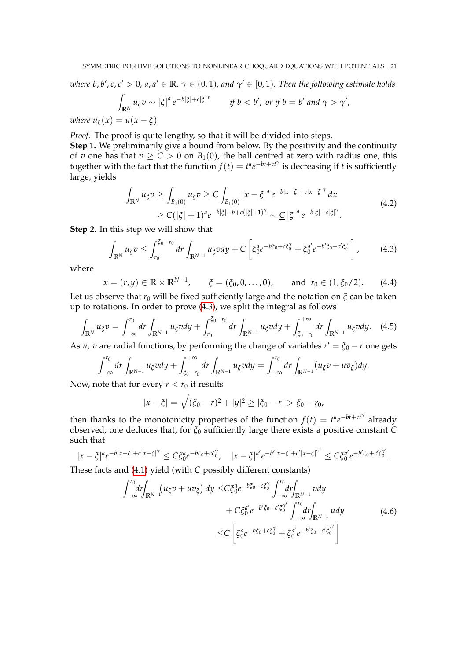where  $b$ ,  $b'$ ,  $c$ ,  $c' > 0$ ,  $a$ ,  $a' \in \mathbb{R}$ ,  $\gamma \in (0,1)$ , and  $\gamma' \in [0,1)$ . Then the following estimate holds

$$
\int_{\mathbb{R}^N} u_{\xi}v \sim |\xi|^a e^{-b|\xi|+c|\xi|^\gamma} \qquad \text{if } b < b', \text{ or if } b = b' \text{ and } \gamma > \gamma',
$$

*where*  $u_{\xi}(x) = u(x - \xi)$ .

*Proof.* The proof is quite lengthy, so that it will be divided into steps. **Step 1.** We preliminarily give a bound from below. By the positivity and the continuity

of *v* one has that  $v \ge C > 0$  on  $B_1(0)$ , the ball centred at zero with radius one, this together with the fact that the function  $f(t) = t^a e^{-bt + ct\gamma}$  is decreasing if *t* is sufficiently large, yields

$$
\int_{\mathbb{R}^N} u_{\xi} v \ge \int_{B_1(0)} u_{\xi} v \ge C \int_{B_1(0)} |x - \xi|^a e^{-b|x - \xi| + c|x - \xi|^{\gamma}} dx
$$
\n
$$
\ge C(|\xi| + 1)^a e^{-b|\xi| - b + c(|\xi| + 1)^{\gamma}} \sim \underline{C} |\xi|^a e^{-b|\xi| + c|\xi|^{\gamma}}.
$$
\n(4.2)

<span id="page-20-2"></span>**Step 2.** In this step we will show that

<span id="page-20-0"></span>
$$
\int_{\mathbb{R}^N} u_{\xi} v \leq \int_{r_0}^{\xi_0 - r_0} dr \int_{\mathbb{R}^{N-1}} u_{\xi} v dy + C \left[ \xi_0^a e^{-b\xi_0 + c\xi_0^{\gamma}} + \xi_0^a' e^{-b'\xi_0 + c'\xi_0^{\gamma'}} \right],
$$
 (4.3)

where

<span id="page-20-1"></span>
$$
x = (r, y) \in \mathbb{R} \times \mathbb{R}^{N-1}, \quad \xi = (\xi_0, 0, \ldots, 0), \quad \text{and } r_0 \in (1, \xi_0/2).
$$
 (4.4)

Let us observe that  $r_0$  will be fixed sufficiently large and the notation on  $\zeta$  can be taken up to rotations. In order to prove [\(4.3\)](#page-20-0), we split the integral as follows

$$
\int_{\mathbb{R}^N} u_{\xi} v = \int_{-\infty}^{r_0} dr \int_{\mathbb{R}^{N-1}} u_{\xi} v dy + \int_{r_0}^{\xi_0 - r_0} dr \int_{\mathbb{R}^{N-1}} u_{\xi} v dy + \int_{\xi_0 - r_0}^{+\infty} dr \int_{\mathbb{R}^{N-1}} u_{\xi} v dy.
$$
 (4.5)

As *u*, *v* are radial functions, by performing the change of variables  $r' = \xi_0 - r$  one gets

$$
\int_{-\infty}^{r_0} dr \int_{\mathbb{R}^{N-1}} u_{\xi} v dy + \int_{\xi_0 - r_0}^{+\infty} dr \int_{\mathbb{R}^{N-1}} u_{\xi} v dy = \int_{-\infty}^{r_0} dr \int_{\mathbb{R}^{N-1}} (u_{\xi} v + u v_{\xi}) dy.
$$

Now, note that for every  $r < r_0$  it results

$$
|x-\xi| = \sqrt{(\xi_0 - r)^2 + |y|^2} \ge |\xi_0 - r| > \xi_0 - r_0,
$$

then thanks to the monotonicity properties of the function  $f(t) = t^a e^{-bt + ct\gamma}$  already observed, one deduces that, for *ξ*<sup>0</sup> sufficiently large there exists a positive constant *C* such that

$$
|x-\xi|^a e^{-b|x-\xi|+c|x-\xi|^\gamma} \leq C\xi_0^a e^{-b\xi_0+c\xi_0^\gamma}, \quad |x-\xi|^{a'} e^{-b'|x-\xi|+c'|x-\xi|^{\gamma'}} \leq C\xi_0^a e^{-b'\xi_0+c'\xi_0^{\gamma'}}.
$$

These facts and [\(4.1\)](#page-19-3) yield (with *C* possibly different constants)

$$
\int_{-\infty}^{r_0} dr \int_{\mathbb{R}^{N-1}} (u_{\xi}v + uv_{\xi}) dy \leq C \xi_0^a e^{-b\xi_0 + c\xi_0^{\gamma}} \int_{-\infty}^{r_0} dr \int_{\mathbb{R}^{N-1}} v dy \n+ C \xi_0^a' e^{-b'\xi_0 + c'\xi_0^{\gamma'}} \int_{-\infty}^{r_0} dr \int_{\mathbb{R}^{N-1}} u dy \n\leq C \left[ \xi_0^a e^{-b\xi_0 + c\xi_0^{\gamma}} + \xi_0^a' e^{-b'\xi_0 + c'\xi_0^{\gamma'}} \right]
$$
\n(4.6)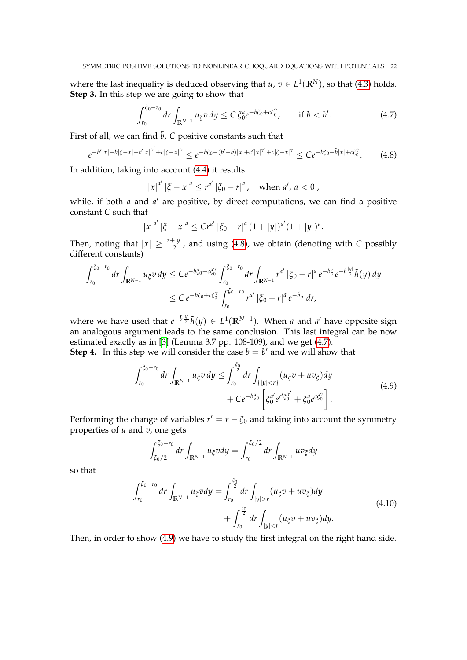where the last inequality is deduced observing that  $u, v \in L^1(\mathbb{R}^N)$ , so that [\(4.3\)](#page-20-0) holds. **Step 3.** In this step we are going to show that

<span id="page-21-1"></span>
$$
\int_{r_0}^{\xi_0 - r_0} dr \int_{\mathbb{R}^{N-1}} u_{\xi} v \, dy \le C \, \xi_0^a e^{-b\xi_0 + c\xi_0^{\gamma}}, \qquad \text{if } b < b'.
$$
\n
$$
(4.7)
$$

First of all, we can find  $\tilde{b}$ , *C* positive constants such that

<span id="page-21-0"></span>
$$
e^{-b'|x|-b|\xi-x|+c'|x|^{\gamma'}+c|\xi-x|^{\gamma}} \leq e^{-b\xi_0-(b'-b)|x|+c'|x|^{\gamma'}+c|\xi-x|^{\gamma}} \leq Ce^{-b\xi_0-\tilde{b}|x|+c\xi_0^{\gamma}}.
$$
 (4.8)

In addition, taking into account [\(4.4\)](#page-20-1) it results

$$
|x|^{a'} |\xi - x|^a \le r^{a'} |\xi_0 - r|^a, \text{ when } a', a < 0,
$$

while, if both *a* and *a'* are positive, by direct computations, we can find a positive constant *C* such that

$$
|x|^{a'} |\xi - x|^a \leq Cr^{a'} |\xi_0 - r|^a (1 + |y|)^{a'} (1 + |y|)^a.
$$

Then, noting that  $|x| \geq \frac{r+|y|}{2}$ , and using [\(4.8\)](#page-21-0), we obtain (denoting with *C* possibly different constants)

$$
\int_{r_0}^{\xi_0 - r_0} dr \int_{\mathbb{R}^{N-1}} u_{\xi} v \, dy \leq C e^{-b\xi_0 + c\xi_0^{\gamma}} \int_{r_0}^{\xi_0 - r_0} dr \int_{\mathbb{R}^{N-1}} r^{a'} \left| \xi_0 - r \right|^{a} e^{-\tilde{b} \frac{r}{2}} e^{-\tilde{b} \frac{|y|}{2}} \tilde{h}(y) \, dy
$$
  

$$
\leq C e^{-b\xi_0 + c\xi_0^{\gamma}} \int_{r_0}^{\xi_0 - r_0} r^{a'} \left| \xi_0 - r \right|^{a} e^{-\tilde{b} \frac{r}{2}} \, dr,
$$

where we have used that  $e^{-\tilde{b}\frac{|y|}{2}}\tilde{h}(y) \in L^1(\mathbb{R}^{N-1})$ . When *a* and *a'* have opposite sign an analogous argument leads to the same conclusion. This last integral can be now estimated exactly as in [\[3\]](#page-32-7) (Lemma 3.7 pp. 108-109), and we get [\(4.7\)](#page-21-1).

*ξ*0

<span id="page-21-2"></span>**Step 4.** In this step we will consider the case  $b = b'$  and we will show that

$$
\int_{r_0}^{\xi_0 - r_0} dr \int_{\mathbb{R}^{N-1}} u_{\xi} v \, dy \le \int_{r_0}^{\frac{\xi_0}{2}} dr \int_{\{|y| < r\}} (u_{\xi} v + u v_{\xi}) dy \n+ C e^{-b\xi_0} \left[ \xi_0^{a'} e^{c'\xi_0'} + \xi_0^a e^{c\xi_0'} \right].
$$
\n
$$
(4.9)
$$

Performing the change of variables  $r' = r - \xi_0$  and taking into account the symmetry properties of *u* and *v*, one gets

$$
\int_{\xi_0/2}^{\xi_0-r_0} dr \int_{\mathbb{R}^{N-1}} u_{\xi} v dy = \int_{r_0}^{\xi_0/2} dr \int_{\mathbb{R}^{N-1}} u v_{\xi} dy
$$

so that

$$
\int_{r_0}^{\xi_0 - r_0} dr \int_{\mathbb{R}^{N-1}} u_{\xi} v dy = \int_{r_0}^{\frac{\xi_0}{2}} dr \int_{|y| > r} (u_{\xi} v + u v_{\xi}) dy \n+ \int_{r_0}^{\frac{\xi_0}{2}} dr \int_{|y| < r} (u_{\xi} v + u v_{\xi}) dy.
$$
\n(4.10)

Then, in order to show [\(4.9\)](#page-21-2) we have to study the first integral on the right hand side.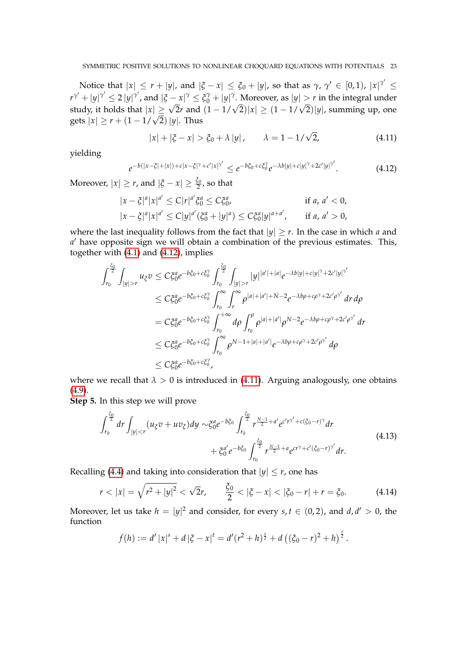Notice that  $|x| \leq r + |y|$ , and  $|\xi - x| \leq \xi_0 + |y|$ , so that as  $\gamma$ ,  $\gamma' \in [0,1)$ ,  $|x|^{\gamma'} \leq \xi_0$  $r^{\gamma'} + |y|^{\gamma'} \le 2 |y|^{\gamma'}$ , and  $|\xi - x|^{\gamma} \le \xi_0^{\gamma} + |y|^{\gamma}$ . Moreover, as  $|y| > r$  in the integral under study, it holds that  $|x|\geq$  $\begin{array}{l} P + |y| & \leq 2 |y| \end{array}$ , and  $|y - x| \leq \frac{c_0 + |y|}{2}$ . Moreover, as  $|y| > r$  in the integral diderstudy, it holds that  $|x| \geq \sqrt{2}r$  and  $(1 - 1/\sqrt{2})|x| \geq (1 - 1/\sqrt{2})|y|$ , summing up, one gets  $|x| \geq r + (1 - 1/\sqrt{2})|y|$ .

<span id="page-22-1"></span>
$$
|x| + |\xi - x| > \xi_0 + \lambda |y|,
$$
  $\lambda = 1 - 1/\sqrt{2},$  (4.11)

yielding

<span id="page-22-0"></span>
$$
e^{-b(|x-\xi|+|x|)+c|x-\xi|^{\gamma}+c'|x|^{\gamma'}} \leq e^{-b\xi_0+c\xi_0^{\gamma}}e^{-\lambda b|y|+c|y|^{\gamma}+2c'|y|^{\gamma'}}.
$$
\n(4.12)

Moreover,  $|x| \geq r$ , and  $|\xi - x| \geq \frac{\xi_0}{2}$  $\frac{1}{2}$ , so that

$$
|x - \xi|^a |x|^{a'} \le C |r|^{a'} \xi_0^a \le C \xi_0^a, \qquad \text{if } a, a' < 0, |x - \xi|^a |x|^{a'} \le C |y|^{a'} (\xi_0^a + |y|^a) \le C \xi_0^a |y|^{a+a'}, \qquad \text{if } a, a' > 0,
$$

where the last inequality follows from the fact that  $|y| \ge r$ . In the case in which *a* and a' have opposite sign we will obtain a combination of the previous estimates. This, together with [\(4.1\)](#page-19-3) and [\(4.12\)](#page-22-0), implies

$$
\int_{r_0}^{\frac{\zeta_0}{2}} \int_{|y|>r} u_{\zeta} v \leq C \zeta_0^a e^{-b \zeta_0 + c \zeta_0^{\gamma}} \int_{r_0}^{\frac{\zeta_0}{2}} \int_{|y|>r} |y|^{|a'|+|a|} e^{-\lambda b |y|+c|y|^{\gamma}+2c'|y|^{\gamma'}}\n\leq C \zeta_0^a e^{-b \zeta_0 + c \zeta_0^{\gamma}} \int_{r_0}^{\infty} \int_r^{\infty} \rho^{|a|+|a'|+N-2} e^{-\lambda b \rho + c \rho^{\gamma}+2c' \rho^{\gamma'}} dr d\rho
$$
\n
$$
= C \zeta_0^a e^{-b \zeta_0 + c \zeta_0^{\gamma}} \int_{r_0}^{+\infty} d\rho \int_{r_0}^{\rho} \rho^{|a|+|a'|} \rho^{N-2} e^{-\lambda b \rho + c \rho^{\gamma}+2c' \rho^{\gamma'}} dr
$$
\n
$$
\leq C \zeta_0^a e^{-b \zeta_0 + c \zeta_0^{\gamma}} \int_{r_0}^{\infty} \rho^{N-1+|a|+|a'|} e^{-\lambda b \rho + c \rho^{\gamma}+2c' \rho^{\gamma'}} d\rho
$$
\n
$$
\leq C \zeta_0^a e^{-b \zeta_0 + c \zeta_0^{\gamma}}.
$$

where we recall that  $\lambda > 0$  is introduced in [\(4.11\)](#page-22-1). Arguing analogously, one obtains  $(4.9).$  $(4.9).$ 

<span id="page-22-3"></span>**Step 5.** In this step we will prove

$$
\int_{r_0}^{\frac{\xi_0}{2}} dr \int_{|y| < r} (u_{\xi}v + uv_{\xi}) dy \sim \xi_0^a e^{-b\xi_0} \int_{r_0}^{\frac{\xi_0}{2}} r^{\frac{N-1}{2} + a'} e^{c'r'^2 + c(\xi_0 - r)^\gamma} dr + \xi_0^a' e^{-b\xi_0} \int_{r_0}^{\frac{\xi_0}{2}} r^{\frac{N-1}{2} + a} e^{cr'^2 + c'(\xi_0 - r)^\gamma} dr.
$$
\n(4.13)

Recalling [\(4.4\)](#page-20-1) and taking into consideration that  $|y| \le r$ , one has

<span id="page-22-2"></span>
$$
r < |x| = \sqrt{r^2 + |y|^2} < \sqrt{2}r, \qquad \frac{\xi_0}{2} < |\xi - x| < |\xi_0 - r| + r = \xi_0. \tag{4.14}
$$

Moreover, let us take  $h = |y|^2$  and consider, for every  $s, t \in (0, 2)$ , and  $d, d' > 0$ , the function

$$
f(h) := d' |x|^s + d |\xi - x|^t = d'(r^2 + h)^{\frac{s}{2}} + d ((\xi_0 - r)^2 + h)^{\frac{t}{2}}.
$$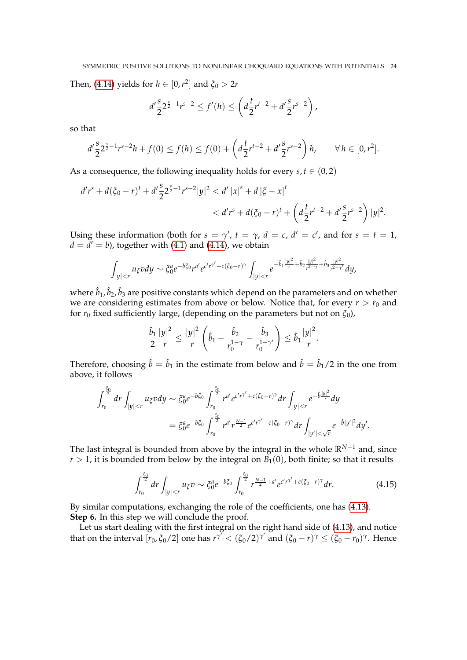Then, [\(4.14\)](#page-22-2) yields for  $h \in [0, r^2]$  and  $\xi_0 > 2r$ 

$$
d'\frac{s}{2}2^{\frac{s}{2}-1}r^{s-2}\leq f'(h)\leq \left(d\frac{t}{2}r^{t-2}+d'\frac{s}{2}r^{s-2}\right),
$$

so that

$$
d'\frac{s}{2}2^{\frac{s}{2}-1}r^{s-2}h+f(0)\leq f(h)\leq f(0)+\left(d\frac{t}{2}r^{t-2}+d'\frac{s}{2}r^{s-2}\right)h,\qquad\forall\,h\in[0,r^2].
$$

As a consequence, the following inequality holds for every  $s, t \in (0, 2)$ 

$$
d'r^{s} + d(\xi_{0} - r)^{t} + d'\frac{s}{2}2^{\frac{s}{2} - 1}r^{s-2}|y|^{2} < d'|x|^{s} + d|\xi - x|^{t}
$$
\n
$$
< d'r^{s} + d(\xi_{0} - r)^{t} + \left(d\frac{t}{2}r^{t-2} + d'\frac{s}{2}r^{s-2}\right)|y|^{2}.
$$

Using these information (both for  $s = \gamma'$ ,  $t = \gamma$ ,  $d = c$ ,  $d' = c'$ , and for  $s = t = 1$ ,  $d = d' = b$ ), together with [\(4.1\)](#page-19-3) and [\(4.14\)](#page-22-2), we obtain

$$
\int_{|y| < r} u_{\xi} v dy \sim \xi_0^a e^{-b \xi_0} r^{a'} e^{c'r^{\gamma} + c(\xi_0 - r)^{\gamma}} \int_{|y| < r} e^{-\hat{b}_1 \frac{|y|^2}{r} + \hat{b}_2 \frac{|y|^2}{r^{2 - \gamma}} + \hat{b}_3 \frac{|y|^2}{r^{2 - \gamma'}} dy},
$$

where  $\hat{b}_1$ ,  $\hat{b}_2$ ,  $\hat{b}_3$  are positive constants which depend on the parameters and on whether we are considering estimates from above or below. Notice that, for every  $r > r_0$  and for  $r_0$  fixed sufficiently large, (depending on the parameters but not on  $\zeta_0$ ),

$$
\frac{\hat{b}_1}{2}\frac{|y|^2}{r} \leq \frac{|y|^2}{r}\left(\hat{b}_1 - \frac{\hat{b}_2}{r_0^{1-\gamma}} - \frac{\hat{b}_3}{r_0^{1-\gamma'}}\right) \leq \hat{b}_1\frac{|y|^2}{r}.
$$

Therefore, choosing  $\hat{b} = \hat{b}_1$  in the estimate from below and  $\hat{b} = \hat{b}_1/2$  in the one from above, it follows

$$
\int_{r_0}^{\frac{\xi_0}{2}} dr \int_{|y| < r} u_{\xi} v dy \sim \xi_0^a e^{-b\xi_0} \int_{r_0}^{\frac{\xi_0}{2}} r^{a'} e^{c'r^{\gamma'} + c(\xi_0 - r)^{\gamma}} dr \int_{|y| < r} e^{-\hat{b}\frac{|y|^2}{r}} dy
$$
  
=  $\xi_0^a e^{-b\xi_0} \int_{r_0}^{\frac{\xi_0}{2}} r^{a'} r^{\frac{N-1}{2}} e^{c'r^{\gamma'} + c(\xi_0 - r)^{\gamma}} dr \int_{|y'| < \sqrt{r}} e^{-\hat{b}|y'|^2} dy'.$ 

The last integral is bounded from above by the integral in the whole **R***N*−<sup>1</sup> and, since  $r > 1$ , it is bounded from below by the integral on  $B_1(0)$ , both finite; so that it results

<span id="page-23-0"></span>
$$
\int_{r_0}^{\frac{\xi_0}{2}} dr \int_{|y| < r} u_{\xi} v \sim \xi_0^a e^{-b\xi_0} \int_{r_0}^{\frac{\xi_0}{2}} r^{\frac{N-1}{2} + a'} e^{c'r'} + c(\xi_0 - r)^\gamma dr.
$$
 (4.15)

By similar computations, exchanging the role of the coefficients, one has [\(4.13\)](#page-22-3). **Step 6.** In this step we will conclude the proof.

Let us start dealing with the first integral on the right hand side of [\(4.13\)](#page-22-3), and notice that on the interval  $[r_0, \xi_0/2]$  one has  $r^{\gamma'} < (\xi_0/2)^{\gamma'}$  and  $(\xi_0 - r)^\gamma \le (\xi_0 - r_0)^\gamma$ . Hence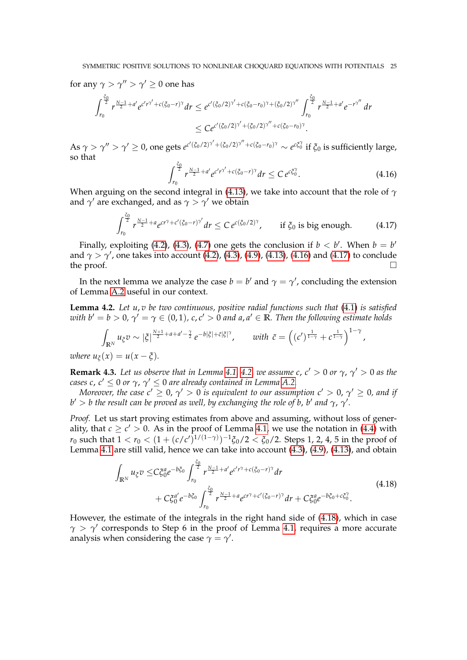for any  $\gamma > \gamma'' > \gamma' \geq 0$  one has

$$
\int_{r_0}^{\frac{\xi_0}{2}} r^{\frac{N-1}{2}+a'} e^{c'r^{\gamma'}+c(\xi_0-r)^{\gamma}} dr \leq e^{c'(\xi_0/2)^{\gamma'}+c(\xi_0-r_0)^{\gamma}+(\xi_0/2)^{\gamma''}} \int_{r_0}^{\frac{\xi_0}{2}} r^{\frac{N-1}{2}+a'} e^{-r^{\gamma''}} dr
$$
  

$$
\leq C e^{c'(\xi_0/2)^{\gamma'}+(\xi_0/2)^{\gamma''}+c(\xi_0-r_0)^{\gamma}}.
$$

As  $\gamma>\gamma''>\gamma'\geq0$ , one gets  $e^{c'(\xi_0/2)^{\gamma'}+(\xi_0/2)^{\gamma''}+c(\xi_0-r_0)^{\gamma}}\sim e^{c\xi_0^{\gamma}}$  if  $\xi_0$  is sufficiently large, so that

<span id="page-24-1"></span>
$$
\int_{r_0}^{\frac{\zeta_0}{2}} r^{\frac{N-1}{2}+a'} e^{c'r^{\gamma'} + c(\zeta_0 - r)^{\gamma}} dr \leq C e^{c\zeta_0^{\gamma}}.
$$
 (4.16)

When arguing on the second integral in [\(4.13\)](#page-22-3), we take into account that the role of *γ* and  $\gamma'$  are exchanged, and as  $\gamma > \gamma'$  we obtain

<span id="page-24-2"></span>
$$
\int_{r_0}^{\frac{\xi_0}{2}} r^{\frac{N-1}{2}+a} e^{cr^{\gamma}+c'(\xi_0-r)^{\gamma'}} dr \leq C e^{c(\xi_0/2)^{\gamma}}, \qquad \text{if } \xi_0 \text{ is big enough.} \tag{4.17}
$$

Finally, exploiting [\(4.2\)](#page-20-2), [\(4.3\)](#page-20-0), [\(4.7\)](#page-21-1) one gets the conclusion if  $b < b'$ . When  $b = b'$ and  $\gamma > \gamma'$ , one takes into account [\(4.2\)](#page-20-2), [\(4.3\)](#page-20-0), [\(4.9\)](#page-21-2), [\(4.13\)](#page-22-3), [\(4.16\)](#page-24-1) and [\(4.17\)](#page-24-2) to conclude the proof.  $\Box$ 

In the next lemma we analyze the case  $b = b'$  and  $\gamma = \gamma'$ , concluding the extension of Lemma [A.2](#page-32-8) useful in our context.

<span id="page-24-0"></span>**Lemma 4.2.** *Let u*, *v be two continuous, positive radial functions such that* [\(4.1\)](#page-19-3) *is satisfied with b'* = *b* > 0,  $\gamma' = \gamma \in (0,1)$ , c, c' > 0 and a, a'  $\in \mathbb{R}$ . Then the following estimate holds

$$
\int_{\mathbb{R}^N} u_{\xi}v \sim |\xi|^{\frac{N+1}{2} + a + a' - \frac{\gamma}{2}} e^{-b|\xi| + \tilde{c}|\xi|^{\gamma}}, \quad \text{with } \tilde{c} = \left( (c')^{\frac{1}{1-\gamma}} + c^{\frac{1}{1-\gamma}} \right)^{1-\gamma},
$$

*where*  $u_{\xi}(x) = u(x - \xi)$ .

**Remark 4.3.** Let us observe that in Lemma [4.1,](#page-19-0) [4.2,](#page-24-0) we assume c,  $c' > 0$  or  $\gamma$ ,  $\gamma' > 0$  as the *cases c, c'*  $\leq$  0 *or*  $\gamma$ *,*  $\gamma'$   $\leq$  0 *are already contained in Lemma [A.2.](#page-32-8)* 

*Moreover, the case*  $c' \geq 0$ *,*  $\gamma' > 0$  *is equivalent to our assumption*  $c' > 0$ *,*  $\gamma' \geq 0$ *, and if*  $b' > b$  the result can be proved as well, by exchanging the role of  $b$ ,  $b'$  and  $\gamma$ ,  $\gamma'.$ 

*Proof.* Let us start proving estimates from above and assuming, without loss of generality, that  $c \geq c' > 0$ . As in the proof of Lemma [4.1,](#page-19-0) we use the notation in [\(4.4\)](#page-20-1) with *r*<sub>0</sub> such that  $1 < r_0 < (1 + (c/c')^{1/(1-\gamma)})^{-1}$ ζ<sub>0</sub>/2  $< \xi_0$ /2. Steps 1, 2, 4, 5 in the proof of Lemma [4.1](#page-19-0) are still valid, hence we can take into account [\(4.3\)](#page-20-0), [\(4.9\)](#page-21-2), [\(4.13\)](#page-22-3), and obtain

$$
\int_{\mathbb{R}^N} u_{\xi} v \leq C \xi_0^a e^{-b \xi_0} \int_{r_0}^{\frac{\xi_0}{2}} r^{\frac{N-1}{2} + a'} e^{c' r^\gamma + c(\xi_0 - r)^\gamma} dr \n+ C \xi_0^a' e^{-b \xi_0} \int_{r_0}^{\frac{\xi_0}{2}} r^{\frac{N-1}{2} + a} e^{c r^\gamma + c'(\xi_0 - r)^\gamma} dr + C \xi_0^a e^{-b \xi_0 + c \xi_0^\gamma}.
$$
\n(4.18)

<span id="page-24-3"></span>However, the estimate of the integrals in the right hand side of [\(4.18\)](#page-24-3), which in case  $\gamma > \gamma'$  corresponds to Step 6 in the proof of Lemma [4.1,](#page-19-0) requires a more accurate analysis when considering the case  $\gamma = \gamma'$ .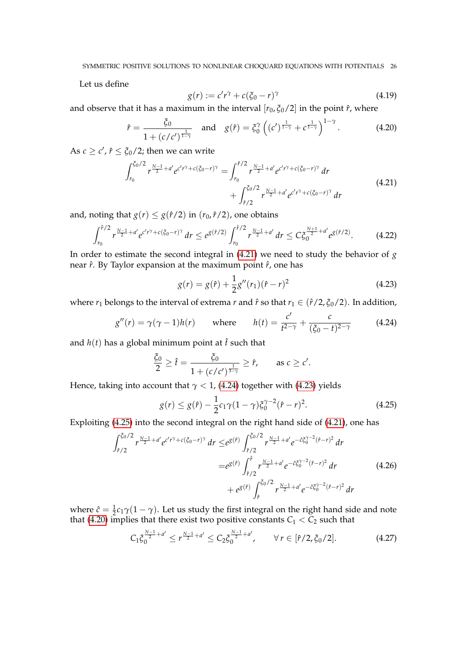Let us define

$$
g(r) := c'r^{\gamma} + c(\xi_0 - r)^{\gamma}
$$
\n(4.19)

and observe that it has a maximum in the interval  $[r_0, \xi_0/2]$  in the point  $\hat{r}$ , where

<span id="page-25-4"></span>
$$
\hat{r} = \frac{\xi_0}{1 + (c/c')^{\frac{1}{1-\gamma}}} \quad \text{and} \quad g(\hat{r}) = \xi_0^{\gamma} \left( (c')^{\frac{1}{1-\gamma}} + c^{\frac{1}{1-\gamma}} \right)^{1-\gamma}.
$$
 (4.20)

<span id="page-25-0"></span>As  $c \geq c'$ ,  $\hat{r} \leq \xi_0/2$ ; then we can write

$$
\int_{r_0}^{\xi_0/2} r^{\frac{N-1}{2}+a'} e^{c'r^{\gamma}+c(\xi_0-r)^{\gamma}} = \int_{r_0}^{\hat{r}/2} r^{\frac{N-1}{2}+a'} e^{c'r^{\gamma}+c(\xi_0-r)^{\gamma}} dr + \int_{\hat{r}/2}^{\xi_0/2} r^{\frac{N-1}{2}+a'} e^{c'r^{\gamma}+c(\xi_0-r)^{\gamma}} dr
$$
(4.21)

and, noting that  $g(r) \leq g(\hat{r}/2)$  in  $(r_0, \hat{r}/2)$ , one obtains

$$
\int_{r_0}^{\hat{r}/2} r^{\frac{N-1}{2}+a'} e^{c'r^{\gamma}+c(\xi_0-r)^{\gamma}} dr \leq e^{g(\hat{r}/2)} \int_{r_0}^{\hat{r}/2} r^{\frac{N-1}{2}+a'} dr \leq C \xi_0^{\frac{N+1}{2}+a'} e^{g(\hat{r}/2)}.
$$
 (4.22)

In order to estimate the second integral in [\(4.21\)](#page-25-0) we need to study the behavior of *g* near  $\hat{r}$ . By Taylor expansion at the maximum point  $\hat{r}$ , one has

<span id="page-25-7"></span><span id="page-25-2"></span>
$$
g(r) = g(\hat{r}) + \frac{1}{2}g''(r_1)(\hat{r} - r)^2
$$
\n(4.23)

where  $r_1$  belongs to the interval of extrema  $r$  and  $\hat{r}$  so that  $r_1 \in (\hat{r}/2, \xi_0/2)$ . In addition,

<span id="page-25-1"></span>
$$
g''(r) = \gamma(\gamma - 1)h(r) \quad \text{where} \quad h(t) = \frac{c'}{t^{2-\gamma}} + \frac{c}{(\xi_0 - t)^{2-\gamma}} \quad (4.24)
$$

and  $h(t)$  has a global minimum point at  $\hat{t}$  such that

$$
\frac{\xi_0}{2} \geq \hat{t} = \frac{\xi_0}{1 + (c/c')^{\frac{1}{3-\gamma}}} \geq \hat{r}, \quad \text{as } c \geq c'.
$$

Hence, taking into account that  $\gamma$  < 1, [\(4.24\)](#page-25-1) together with [\(4.23\)](#page-25-2) yields

<span id="page-25-3"></span>
$$
g(r) \le g(\hat{r}) - \frac{1}{2}c_1\gamma(1-\gamma)\xi_0^{\gamma-2}(\hat{r}-r)^2.
$$
 (4.25)

<span id="page-25-6"></span>Exploiting [\(4.25\)](#page-25-3) into the second integral on the right hand side of [\(4.21\)](#page-25-0), one has

$$
\int_{\hat{r}/2}^{\tilde{\zeta}_0/2} r^{\frac{N-1}{2}+a'} e^{c'r^{\gamma}+c(\tilde{\zeta}_0-r)^{\gamma}} dr \leq e^{g(\hat{r})} \int_{\hat{r}/2}^{\tilde{\zeta}_0/2} r^{\frac{N-1}{2}+a'} e^{-\hat{c}\tilde{\zeta}_0^{\gamma-2}(\hat{r}-r)^2} dr \n= e^{g(\hat{r})} \int_{\hat{r}/2}^{\hat{r}} r^{\frac{N-1}{2}+a'} e^{-\hat{c}\tilde{\zeta}_0^{\gamma-2}(\hat{r}-r)^2} dr \n+ e^{g(\hat{r})} \int_{\hat{r}}^{\tilde{\zeta}_0/2} r^{\frac{N-1}{2}+a'} e^{-\hat{c}\tilde{\zeta}_0^{\gamma-2}(\hat{r}-r)^2} dr
$$
\n(4.26)

where  $\hat{c} = \frac{1}{2}c_1\gamma(1-\gamma)$ . Let us study the first integral on the right hand side and note that [\(4.20\)](#page-25-4) implies that there exist two positive constants  $C_1 < C_2$  such that

<span id="page-25-5"></span>
$$
C_1 \xi_0^{\frac{N-1}{2}+a'} \leq r^{\frac{N-1}{2}+a'} \leq C_2 \xi_0^{\frac{N-1}{2}+a'}, \qquad \forall \, r \in [\hat{r}/2, \xi_0/2]. \tag{4.27}
$$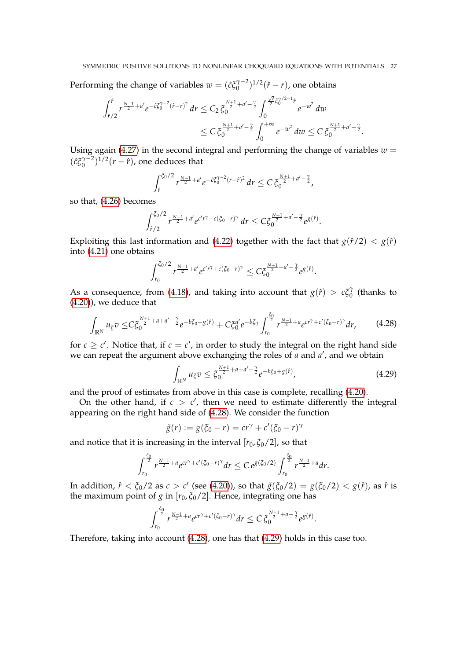Performing the change of variables  $w = (\hat{c} \xi_0^{\gamma-2})$  $\binom{\gamma-2}{0}^{1/2}(\hat{r}-r)$ , one obtains √

$$
\int_{\tilde{r}/2}^{\tilde{r}} r^{\frac{N-1}{2}+a'} e^{-\tilde{c}\tilde{\zeta}_0^{\gamma-2}(\tilde{r}-r)^2} dr \leq C_2 \, \tilde{\zeta}_0^{\frac{N+1}{2}+a'-\frac{\gamma}{2}} \int_0^{\frac{\sqrt{\tilde{c}}}{2} \tilde{\zeta}_0^{\gamma/2-1} \hat{r}} e^{-w^2} dw
$$
  

$$
\leq C \, \tilde{\zeta}_0^{\frac{N+1}{2}+a'-\frac{\gamma}{2}} \int_0^{+\infty} e^{-w^2} dw \leq C \, \tilde{\zeta}_0^{\frac{N+1}{2}+a'-\frac{\gamma}{2}}
$$

Using again [\(4.27\)](#page-25-5) in the second integral and performing the change of variables  $w =$  $(\hat{c} \xi_0^{\gamma-2})$  $\int_{0}^{\gamma-2}$ )<sup>1/2</sup>(*r* – *f*), one deduces that

$$
\int_{\hat{r}}^{\xi_0/2} r^{\frac{N-1}{2}+a'} e^{-\hat{c}\xi_0^{\gamma-2}(r-\hat{r})^2} dr \leq C \xi_0^{\frac{N+1}{2}+a'-\frac{\gamma}{2}},
$$

so that, [\(4.26\)](#page-25-6) becomes

$$
\int_{\hat{r}/2}^{\xi_0/2} r^{\frac{N-1}{2}+a'} e^{c'r^{\gamma}+c(\xi_0-r)^{\gamma}} dr \leq C \xi_0^{\frac{N+1}{2}+a'-\frac{\gamma}{2}} e^{g(\hat{r})}.
$$

Exploiting this last information and [\(4.22\)](#page-25-7) together with the fact that  $g(\hat{r}/2) < g(\hat{r})$ into [\(4.21\)](#page-25-0) one obtains

$$
\int_{r_0}^{\xi_0/2} r^{\frac{N-1}{2}+a'} e^{c'r^{\gamma}+c(\xi_0-r)^{\gamma}} \leq C \xi_0^{\frac{N+1}{2}+a'-\frac{\gamma}{2}} e^{g(\hat{r})}.
$$

As a consequence, from [\(4.18\)](#page-24-3), and taking into account that  $g(\hat{r}) > c\xi_0^{\gamma}$  $\int_0^7$  (thanks to [\(4.20\)](#page-25-4)), we deduce that

<span id="page-26-0"></span>
$$
\int_{\mathbb{R}^N} u_{\xi} v \leq C \xi_0^{\frac{N+1}{2} + a + a' - \frac{\gamma}{2}} e^{-b \xi_0 + g(\hat{r})} + C \xi_0^{a'} e^{-b \xi_0} \int_{r_0}^{\frac{\xi_0}{2}} r^{\frac{N-1}{2} + a} e^{c r^{\gamma} + c' (\xi_0 - r)^{\gamma}} dr,
$$
 (4.28)

for  $c \geq c'$ . Notice that, if  $c = c'$ , in order to study the integral on the right hand side we can repeat the argument above exchanging the roles of *a* and *a'*, and we obtain

<span id="page-26-1"></span>
$$
\int_{\mathbb{R}^N} u_{\xi} v \leq \xi_0^{\frac{N+1}{2} + a + a' - \frac{\gamma}{2}} e^{-b\xi_0 + g(\hat{r})}, \tag{4.29}
$$

.

and the proof of estimates from above in this case is complete, recalling [\(4.20\)](#page-25-4).

On the other hand, if  $c > c'$ , then we need to estimate differently the integral appearing on the right hand side of [\(4.28\)](#page-26-0). We consider the function

$$
\tilde{g}(r) := g(\xi_0 - r) = cr^{\gamma} + c'(\xi_0 - r)^{\gamma}
$$

and notice that it is increasing in the interval  $[r_0, \xi_0/2]$ , so that

$$
\int_{r_0}^{\frac{\zeta_0}{2}} r^{\frac{N-1}{2}+a} e^{cr^{\gamma}+c'(\zeta_0-r)^{\gamma}} dr \leq C e^{\tilde{g}(\zeta_0/2)} \int_{r_0}^{\frac{\zeta_0}{2}} r^{\frac{N-1}{2}+a} dr.
$$

In addition,  $\hat{r} < \xi_0/2$  as  $c > c'$  (see [\(4.20\)](#page-25-4)), so that  $\tilde{g}(\xi_0/2) = g(\xi_0/2) < g(\hat{r})$ , as  $\hat{r}$  is the maximum point of *g* in  $[r_0, \xi_0/2]$ . Hence, integrating one has

$$
\int_{r_0}^{\frac{\xi_0}{2}} r^{\frac{N-1}{2}+a} e^{cr^{\gamma}+c'(\xi_0-r)^{\gamma}} dr \leq C \, \xi_0^{\frac{N+1}{2}+a-\frac{\gamma}{2}} e^{g(\hat{r})}.
$$

Therefore, taking into account [\(4.28\)](#page-26-0), one has that [\(4.29\)](#page-26-1) holds in this case too.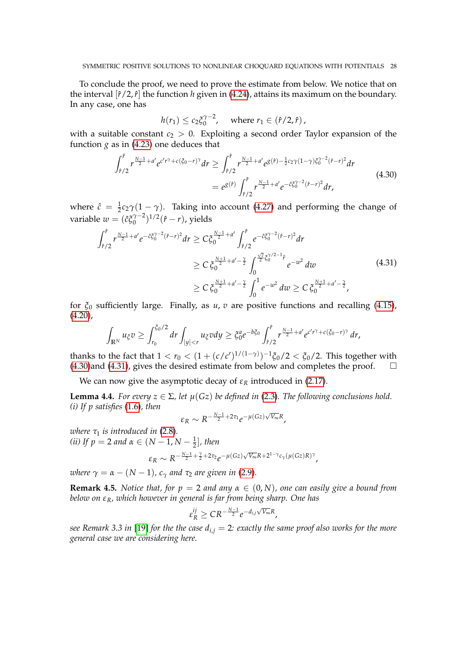To conclude the proof, we need to prove the estimate from below. We notice that on the interval  $[\hat{r}/2,\hat{r}]$  the function *h* given in [\(4.24\)](#page-25-1), attains its maximum on the boundary. In any case, one has

$$
h(r_1) \leq c_2 \xi_0^{\gamma-2}
$$
, where  $r_1 \in (\hat{r}/2, \hat{r})$ ,

with a suitable constant  $c_2 > 0$ . Exploiting a second order Taylor expansion of the function  $g$  as in [\(4.23\)](#page-25-2) one deduces that

$$
\int_{\hat{r}/2}^{\hat{r}} r^{\frac{N-1}{2}+a'} e^{c'r\hat{\gamma}+c(\xi_0-r)\hat{\gamma}} dr \ge \int_{\hat{r}/2}^{\hat{r}} r^{\frac{N-1}{2}+a'} e^{g(\hat{r})-\frac{1}{2}c_2\gamma(1-\gamma)\xi_0^{\gamma-2}(\hat{r}-r)^2} dr
$$
\n
$$
= e^{g(\hat{r})} \int_{\hat{r}/2}^{\hat{r}} r^{\frac{N-1}{2}+a'} e^{-\hat{c}\xi_0^{\gamma-2}(\hat{r}-r)^2} dr,
$$
\n(4.30)

<span id="page-27-1"></span>where  $\hat{c} = \frac{1}{2}c_2\gamma(1-\gamma)$ . Taking into account [\(4.27\)](#page-25-5) and performing the change of variable  $w = (\hat{c} \xi_0^{\gamma-2})$  $\int_0^{\gamma-2}$ <sup>1/2</sup>( $\hat{r}$  – *r*), yields

<span id="page-27-2"></span>
$$
\int_{\hat{r}/2}^{\hat{r}} r^{\frac{N-1}{2}+a'} e^{-\hat{c}\xi_0^{\gamma-2}(\hat{r}-r)^2} dr \geq C \xi_0^{\frac{N-1}{2}+a'} \int_{\hat{r}/2}^{\hat{r}} e^{-\hat{c}\xi_0^{\gamma-2}(\hat{r}-r)^2} dr
$$
\n
$$
\geq C \xi_0^{\frac{N+1}{2}+a'-\frac{\gamma}{2}} \int_0^{\frac{\sqrt{\hat{c}}}{2}\xi_0^{\gamma/2-1}\hat{r}} e^{-w^2} dw
$$
\n
$$
\geq C \xi_0^{\frac{N+1}{2}+a'-\frac{\gamma}{2}} \int_0^1 e^{-w^2} dw \geq C \xi_0^{\frac{N+1}{2}+a'-\frac{\gamma}{2}},
$$
\n(4.31)

for *ξ*<sup>0</sup> sufficiently large. Finally, as *u*, *v* are positive functions and recalling [\(4.15\)](#page-23-0),  $(4.20)$ ,

$$
\int_{\mathbb{R}^N} u_{\xi}v \geq \int_{r_0}^{\xi_0/2} dr \int_{|y|
$$

thanks to the fact that  $1 < r_0 < (1 + (c/c')^{1/(1-\gamma)})^{-1} \xi_0/2 < \xi_0/2$ . This together with  $(4.30)$ and  $(4.31)$ , gives the desired estimate from below and completes the proof.  $\square$ 

We can now give the asymptotic decay of  $\varepsilon_R$  introduced in [\(2.17\)](#page-9-2).

<span id="page-27-0"></span>**Lemma 4.4.** *For every*  $z \in \Sigma$ , let  $\mu(Gz)$  be defined in [\(2.3\)](#page-5-3). The following conclusions hold. *(i) If p satisfies* [\(1.6\)](#page-3-4)*, then*

$$
\varepsilon_R \sim R^{-\frac{N-1}{2}+2\tau_1}e^{-\mu(Gz)\sqrt{V_{\infty}}R},
$$

*where*  $\tau_1$  *is introduced in* [\(2.8\)](#page-7-1). (*ii*) If  $p = 2$  and  $\alpha \in (N - 1, N - \frac{1}{2}]$ , then

$$
\varepsilon_R \sim R^{-\frac{N-1}{2} + \frac{\gamma}{2} + 2\tau_2} e^{-\mu(Gz)\sqrt{V_{\infty}}R + 2^{1-\gamma}c_{\gamma}(\mu(Gz)R)^{\gamma}},
$$

*where*  $\gamma = \alpha - (N-1)$ *, c<sub>* $\gamma$ *</sub> and*  $\tau_2$  *are given in* [\(2.9\)](#page-7-0)*.* 

**Remark 4.5.** *Notice that, for p* = 2 *and any*  $\alpha \in (0, N)$ *, one can easily give a bound from below on εR, which however in general is far from being sharp. One has*

$$
\varepsilon_R^{ij} \geq CR^{-\frac{N-1}{2}} e^{-d_{i,j}\sqrt{V_{\infty}}R},
$$

*see Remark 3.3 in* [\[19\]](#page-33-12) *for the the case di*,*<sup>j</sup>* = 2*: exactly the same proof also works for the more general case we are considering here.*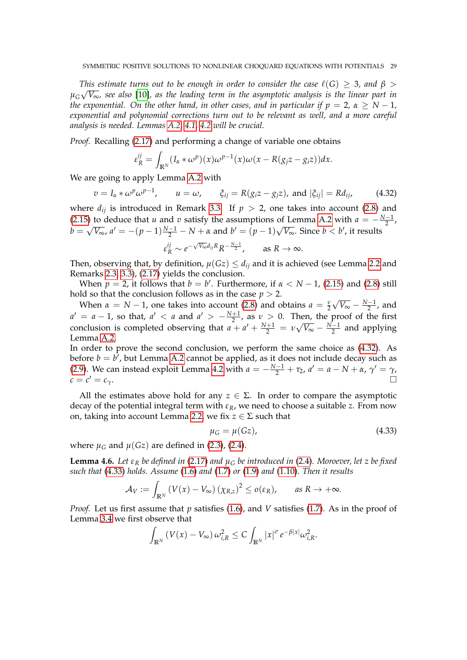*This estimate turns out to be enough in order to consider the case*  $\ell(G) \geq 3$ *, and*  $\beta > \sqrt{2}$ *µG V*∞*, see also* [\[10\]](#page-33-14)*, as the leading term in the asymptotic analysis is the linear part in the exponential.* On the other hand, in other cases, and in particular if  $p = 2$ ,  $\alpha \ge N - 1$ , *exponential and polynomial corrections turn out to be relevant as well, and a more careful analysis is needed. Lemmas [A.2,](#page-32-8) [4.1,](#page-19-0) [4.2](#page-24-0) will be crucial.*

*Proof.* Recalling [\(2.17\)](#page-9-2) and performing a change of variable one obtains

$$
\varepsilon_R^{ij} = \int_{\mathbb{R}^N} (I_\alpha * \omega^p)(x) \omega^{p-1}(x) \omega(x - R(g_j z - g_i z)) dx.
$$

We are going to apply Lemma [A.2](#page-32-8) with

<span id="page-28-0"></span>
$$
v = I_{\alpha} * \omega^p \omega^{p-1}, \qquad u = \omega, \qquad \xi_{ij} = R(g_i z - g_j z), \text{ and } |\xi_{ij}| = R d_{ij}, \tag{4.32}
$$

where  $d_{ij}$  is introduced in Remark [3.3.](#page-10-1) If  $p > 2$ , one takes into account [\(2.8\)](#page-7-1) and [\(2.15\)](#page-9-3) to deduce that *u* and *v* satisfy the assumptions of Lemma [A.2](#page-32-8) with  $a = -\frac{N-1}{2}$ ,  $b =$ √  $\overline{V_{\infty}}$ ,  $a' = -(p-1)\frac{N-1}{2} - N + \alpha$  and  $b' = (p-1)\sqrt{2}$  $\overline{V_{\infty}}$ . Since  $b < b'$ , it results

$$
\varepsilon_R^{ij} \sim e^{-\sqrt{V_{\infty}}d_{ij}R}R^{-\frac{N-1}{2}}, \quad \text{as } R \to \infty.
$$

Then, observing that, by definition,  $\mu(Gz) \leq d_{ij}$  and it is achieved (see Lemma [2.2](#page-5-5) and Remarks [2.3,](#page-6-0) [3.3\)](#page-10-1), [\(2.17\)](#page-9-2) yields the conclusion.

When  $p = 2$ , it follows that  $b = b'$ . Furthermore, if  $\alpha < N - 1$ , [\(2.15\)](#page-9-3) and [\(2.8\)](#page-7-1) still hold so that the conclusion follows as in the case  $p > 2$ .

When  $\alpha = N - 1$ , one takes into account [\(2.8\)](#page-7-1) and obtains  $a = \frac{v}{2}$  $2 V V^{\infty}$  2  $\sqrt{V_{\infty}} - \frac{N-1}{2}$ , and  $a' = a - 1$ , so that,  $a' < a$  and  $a' > -\frac{N+1}{2}$ , as  $v > 0$ . Then, the proof of the first conclusion is completed observing that  $a + a' + \frac{N+1}{2} = v$  $\sqrt{V_{\infty}} - \frac{N-1}{2}$  and applying Lemma [A.2.](#page-32-8)

In order to prove the second conclusion, we perform the same choice as [\(4.32\)](#page-28-0). As before  $b = b^7$ , but Lemma [A.2](#page-32-8) cannot be applied, as it does not include decay such as [\(2.9\)](#page-7-0). We can instead exploit Lemma [4.2](#page-24-0) with  $a = -\frac{N-1}{2} + \tau_2$ ,  $a' = a - N + \alpha$ ,  $\gamma' = \gamma$ ,  $c = c' = c_{\gamma}$ .  $\alpha' = c_\gamma.$ 

All the estimates above hold for any  $z \in \Sigma$ . In order to compare the asymptotic decay of the potential integral term with  $\varepsilon_R$ , we need to choose a suitable *z*. From now on, taking into account Lemma [2.2,](#page-5-5) we fix  $z \in \Sigma$  such that

<span id="page-28-1"></span>
$$
\mu_G = \mu(Gz),\tag{4.33}
$$

where  $\mu$ <sup>*G*</sup> and  $\mu$ (*Gz*) are defined in [\(2.3\)](#page-5-3), [\(2.4\)](#page-5-2).

<span id="page-28-2"></span>**Lemma 4.6.** *Let*  $\varepsilon_R$  *be defined in* [\(2.17\)](#page-9-2) *and*  $\mu_G$  *be introduced in* [\(2.4\)](#page-5-2)*. Moroever, let z be fixed such that* [\(4.33\)](#page-28-1) *holds. Assume* [\(1.6\)](#page-3-4) *and* [\(1.7\)](#page-3-1) *or* [\(1.9\)](#page-3-5) *and* [\(1.10\)](#page-3-6)*. Then it results*

$$
\mathcal{A}_V := \int_{\mathbb{R}^N} \left( V(x) - V_\infty \right) \left( \chi_{R,z} \right)^2 \le o(\varepsilon_R), \quad \text{as } R \to +\infty.
$$

*Proof.* Let us first assume that *p* satisfies [\(1.6\)](#page-3-4), and *V* satisfies [\(1.7\)](#page-3-1). As in the proof of Lemma [3.4](#page-11-1) we first observe that

$$
\int_{\mathbb{R}^N} \left( V(x) - V_{\infty} \right) \omega_{i,R}^2 \leq C \int_{\mathbb{R}^N} |x|^{\sigma} e^{-\beta |x|} \omega_{i,R}^2.
$$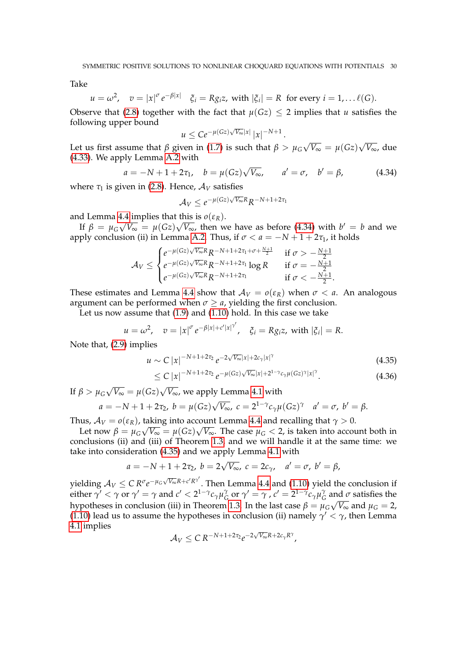Take

$$
u = \omega^2
$$
,  $v = |x|^{\sigma} e^{-\beta |x|}$   $\xi_i = R g_i z$ , with  $|\xi_i| = R$  for every  $i = 1, \dots \ell(G)$ .

Observe that [\(2.8\)](#page-7-1) together with the fact that  $\mu(Gz) \leq 2$  implies that *u* satisfies the following upper bound √

$$
u \leq Ce^{-\mu(Gz)\sqrt{V_{\infty}}|x|} |x|^{-N+1}
$$

Let us first assume that  $\beta$  given in [\(1.7\)](#page-3-1) is such that  $\beta > \mu_G$ √  $\overline{V_{\infty}} = \mu(Gz)$ √ *V*∞, due [\(4.33\)](#page-28-1). We apply Lemma [A.2](#page-32-8) with

<span id="page-29-0"></span>
$$
a = -N + 1 + 2\tau_1
$$
,  $b = \mu(Gz)\sqrt{V_{\infty}}$ ,  $a' = \sigma$ ,  $b' = \beta$ , (4.34)

.

where  $\tau_1$  is given in [\(2.8\)](#page-7-1). Hence,  $A_V$  satisfies

$$
A_V \leq e^{-\mu(Gz)\sqrt{V_{\infty}}R}R^{-N+1+2\tau_1}
$$

and Lemma [4.4](#page-27-0) implies that this is  $o(\varepsilon_R)$ .

If  $\beta = \mu_G \sqrt{V_{\infty}} = \mu(Gz)\sqrt{V_{\infty}}$ , then we have as before [\(4.34\)](#page-29-0) with  $b' = b$  and we apply conclusion (ii) in Lemma [A.2.](#page-32-8) Thus, if  $\sigma < a = -N + 1 + 2\tau_1$ , it holds

$$
\mathcal{A}_V \leq \begin{cases} e^{-\mu(Gz)\sqrt{V_{\infty}}R}R^{-N+1+2\tau_1+\sigma+\frac{N+1}{2}} & \text{if } \sigma > -\frac{N+1}{2} \\ e^{-\mu(Gz)\sqrt{V_{\infty}}R}R^{-N+1+2\tau_1}\log R & \text{if } \sigma = -\frac{N+1}{2} \\ e^{-\mu(Gz)\sqrt{V_{\infty}}R}R^{-N+1+2\tau_1} & \text{if } \sigma < -\frac{N+1}{2}. \end{cases}
$$

These estimates and Lemma [4.4](#page-27-0) show that  $A_V = o(\varepsilon_R)$  when  $\sigma < a$ . An analogous argument can be performed when  $\sigma \ge a$ , yielding the first conclusion.

Let us now assume that [\(1.9\)](#page-3-5) and [\(1.10\)](#page-3-6) hold. In this case we take

$$
u = \omega^2
$$
,  $v = |x|^{\sigma} e^{-\beta |x| + c' |x|^{\gamma'}}$ ,  $\xi_i = Rg_i z$ , with  $|\xi_i| = R$ .

Note that, [\(2.9\)](#page-7-0) implies

$$
u \sim C |x|^{-N+1+2\tau_2} e^{-2\sqrt{V_{\infty}}|x|+2c_{\gamma}|x|^{\gamma}}
$$
\n(4.35)

<span id="page-29-1"></span>
$$
\leq C |x|^{-N+1+2\tau_2} e^{-\mu(Gz)\sqrt{V_{\infty}}|x|+2^{1-\gamma}c_{\gamma}\mu(Gz)^{\gamma}|x|^{\gamma}}.
$$
\n(4.36)

If  $\beta > \mu_G$ √  $\overline{V_{\infty}} = \mu(Gz)$ *V*∞, we apply Lemma [4.1](#page-19-0) with √

$$
a = -N + 1 + 2\tau_2
$$
,  $b = \mu(Gz)\sqrt{V_{\infty}}$ ,  $c = 2^{1-\gamma}c_{\gamma}\mu(Gz)^{\gamma}$   $a' = \sigma$ ,  $b' = \beta$ .

Thus,  $A_V = o(\varepsilon_R)$ , taking into account Lemma [4.4](#page-27-0) and recalling that  $\gamma > 0$ .

Let now  $\beta = \mu_G \sqrt{V_{\infty}} = \mu(Gz) \sqrt{V_{\infty}}$ . The case  $\mu_G < 2$ , is taken into account both in conclusions (ii) and (iii) of Theorem [1.3,](#page-3-2) and we will handle it at the same time: we take into consideration [\(4.35\)](#page-29-1) and we apply Lemma [4.1](#page-19-0) with

$$
a = -N + 1 + 2\tau_2
$$
,  $b = 2\sqrt{V_{\infty}}$ ,  $c = 2c_{\gamma}$ ,  $a' = \sigma$ ,  $b' = \beta$ ,

yielding  $\mathcal{A}_V \leq C R^{\sigma} e^{-\mu_G \sqrt{V_{\infty}}R + c' R^{\gamma'}}$ . Then Lemma [4.4](#page-27-0) and [\(1.10\)](#page-3-6) yield the conclusion if either  $\gamma' < \gamma$  or  $\gamma' = \gamma$  and  $c' < 2^{1-\gamma}c_{\gamma}\mu_{G}^{\gamma}$  $C_G$  or  $\gamma' = \gamma$  ,  $c' = 2^{1-\gamma}c_\gamma\mu_C^{\gamma}$  $\frac{7}{6}$  and  $\sigma$  satisfies the hypotheses in conclusion (iii) in Theorem [1.3.](#page-3-2) In the last case  $β = μ_G\sqrt{V_{\infty}}$  and  $μ_G = 2$ , [\(1.10\)](#page-3-6) lead us to assume the hypotheses in conclusion (ii) namely  $\gamma' < \gamma$ , then Lemma [4.1](#page-19-0) implies √

$$
\mathcal{A}_V \leq C R^{-N+1+2\tau_2} e^{-2\sqrt{V_\infty}R+2c_\gamma R^\gamma},
$$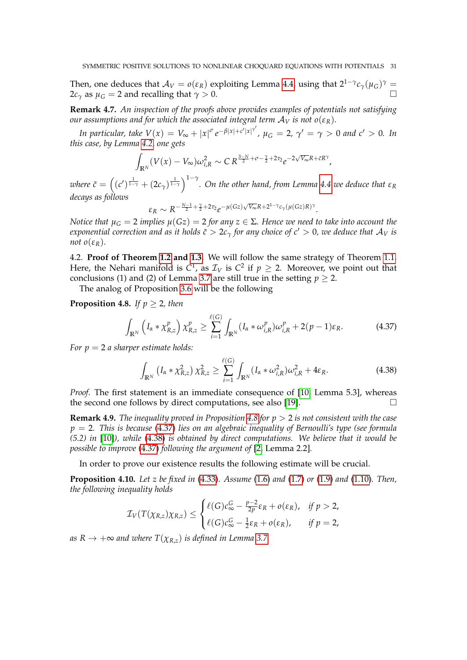Then, one deduces that  $\mathcal{A}_V = o(\varepsilon_R)$  exploiting Lemma [4.4,](#page-27-0) using that  $2^{1-\gamma}c_\gamma(\mu_G)^\gamma =$  $2c_\gamma$  as  $\mu$ <sup>*G*</sup> = 2 and recalling that  $\gamma > 0$ .

<span id="page-30-0"></span>**Remark 4.7.** *An inspection of the proofs above provides examples of potentials not satisfying our assumptions and for which the associated integral term*  $A_V$  *is not*  $o(\varepsilon_R)$ *.* 

In particular, take  $V(x) = V_{\infty} + |x|^{\sigma} e^{-\beta |x| + c' |x|^{\gamma'}}$ ,  $\mu_G = 2$ ,  $\gamma' = \gamma > 0$  and  $c' > 0$ . In *this case, by Lemma [4.2,](#page-24-0) one gets*

$$
\int_{\mathbb{R}^N} (V(x) - V_\infty) \omega_{i,R}^2 \sim C R^{\frac{3-N}{2} + \sigma - \frac{\gamma}{2} + 2\tau_2} e^{-2\sqrt{V_\infty}R + \tilde{c}R^\gamma},
$$

 $\alpha$  *c* =  $((c')^{\frac{1}{1-\gamma}} + (2c_{\gamma})^{\frac{1}{1-\gamma}})^{1-\gamma}$ . On the other hand, from Lemma [4.4](#page-27-0) we deduce that  $\varepsilon_R$ *decays as follows* √

$$
\varepsilon_R \sim R^{-\frac{N-1}{2} + \frac{\gamma}{2} + 2\tau_2} e^{-\mu(Gz)\sqrt{V_{\infty}}R + 2^{1-\gamma}c_{\gamma}(\mu(Gz)R)^{\gamma}}.
$$

*Notice that*  $\mu_G = 2$  *implies*  $\mu(Gz) = 2$  *for any*  $z \in \Sigma$ *. Hence we need to take into account the exponential correction and as it holds*  $\tilde{c} > 2c_\gamma$  *for any choice of c'* > 0*, we deduce that*  $A_V$  *is not*  $o(\varepsilon_R)$ *.* 

<span id="page-30-1"></span>4.2. **Proof of Theorem [1.2](#page-3-0) and [1.3.](#page-3-2)** We will follow the same strategy of Theorem [1.1.](#page-2-1) Here, the Nehari manifold is  $C^1$ , as  $\mathcal{I}_V$  is  $C^2$  if  $p \geq 2$ . Moreover, we point out that conclusions (1) and (2) of Lemma [3.7](#page-17-1) are still true in the setting  $p \ge 2$ .

The analog of Proposition [3.6](#page-14-0) will be the following

<span id="page-30-2"></span>**Proposition 4.8.** *If*  $p \geq 2$ *, then* 

<span id="page-30-3"></span>
$$
\int_{\mathbb{R}^N} \left( I_{\alpha} * \chi^p_{R,z} \right) \chi^p_{R,z} \ge \sum_{i=1}^{\ell(G)} \int_{\mathbb{R}^N} (I_{\alpha} * \omega^p_{i,R}) \omega^p_{i,R} + 2(p-1)\varepsilon_R. \tag{4.37}
$$

*For p* = 2 *a sharper estimate holds:*

<span id="page-30-4"></span>
$$
\int_{\mathbb{R}^N} \left( I_{\alpha} * \chi^2_{R,z} \right) \chi^2_{R,z} \ge \sum_{i=1}^{\ell(G)} \int_{\mathbb{R}^N} (I_{\alpha} * \omega_{i,R}^2) \omega_{i,R}^2 + 4\varepsilon_R.
$$
\n(4.38)

*Proof.* The first statement is an immediate consequence of [\[10,](#page-33-14) Lemma 5.3], whereas the second one follows by direct computations, see also [\[19\]](#page-33-12).

**Remark 4.9.** *The inequality proved in Proposition [4.8](#page-30-2) for p* > 2 *is not consistent with the case p* = 2*. This is because* [\(4.37\)](#page-30-3) *lies on an algebraic inequality of Bernoulli's type (see formula (5.2) in* [\[10\]](#page-33-14)*), while* [\(4.38\)](#page-30-4) *is obtained by direct computations. We believe that it would be possible to improve* [\(4.37\)](#page-30-3) *following the argument of* [\[2,](#page-32-9) Lemma 2.2]*.*

In order to prove our existence results the following estimate will be crucial.

<span id="page-30-5"></span>**Proposition 4.10.** *Let z be fixed in* [\(4.33\)](#page-28-1)*. Assume* [\(1.6\)](#page-3-4) *and* [\(1.7\)](#page-3-1) *or* [\(1.9\)](#page-3-5) *and* [\(1.10\)](#page-3-6)*. Then, the following inequality holds*

$$
\mathcal{I}_V(T(\chi_{R,z})\chi_{R,z}) \leq \begin{cases} \ell(G)c_\infty^G - \frac{p-2}{2p}\varepsilon_R + o(\varepsilon_R), & \text{if } p > 2, \\ \ell(G)c_\infty^G - \frac{1}{2}\varepsilon_R + o(\varepsilon_R), & \text{if } p = 2, \end{cases}
$$

*as*  $R \rightarrow +\infty$  *and where*  $T(\chi_{R,z})$  *is defined in Lemma* [3.7.](#page-17-1)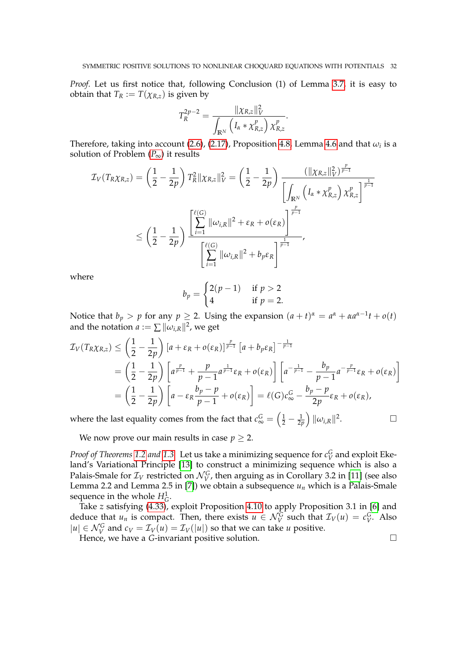*Proof.* Let us first notice that, following Conclusion (1) of Lemma [3.7,](#page-17-1) it is easy to obtain that  $T_R := T(\chi_{R,z})$  is given by

$$
T_R^{2p-2} = \frac{\|\chi_{R,z}\|_V^2}{\int_{\mathbb{R}^N} \left(I_\alpha * \chi_{R,z}^p\right) \chi_{R,z}^p}.
$$

Therefore, taking into account [\(2.6\)](#page-7-4), [\(2.17\)](#page-9-2), Proposition [4.8,](#page-30-2) Lemma [4.6](#page-28-2) and that  $\omega_i$  is a solution of [P](#page-1-0)roblem  $(P_{\infty})$  it results

$$
\mathcal{I}_{V}(T_{R}\chi_{R,z}) = \left(\frac{1}{2} - \frac{1}{2p}\right) T_{R}^{2} \|\chi_{R,z}\|_{V}^{2} = \left(\frac{1}{2} - \frac{1}{2p}\right) \frac{\left(\|\chi_{R,z}\|_{V}^{2}\right)^{\frac{p}{p-1}}}{\left[\int_{\mathbb{R}^{N}} \left(I_{\alpha} * \chi_{R,z}^{p}\right) \chi_{R,z}^{p}\right]^{\frac{1}{p-1}}}
$$
  

$$
\leq \left(\frac{1}{2} - \frac{1}{2p}\right) \frac{\left[\sum_{i=1}^{\ell(G)} \|\omega_{i,R}\|^{2} + \varepsilon_{R} + o(\varepsilon_{R})\right]^{\frac{p}{p-1}}}{\left[\sum_{i=1}^{\ell(G)} \|\omega_{i,R}\|^{2} + b_{p}\varepsilon_{R}\right]^{\frac{1}{p-1}}},
$$

where

$$
b_p = \begin{cases} 2(p-1) & \text{if } p > 2 \\ 4 & \text{if } p = 2. \end{cases}
$$

Notice that  $b_p > p$  for any  $p \ge 2$ . Using the expansion  $(a + t)^{\alpha} = a^{\alpha} + \alpha a^{\alpha-1}t + o(t)$ and the notation  $a := \sum \|\omega_{i,R}\|^2$ , we get

$$
\mathcal{I}_{V}(T_{R}\chi_{R,z}) \leq \left(\frac{1}{2} - \frac{1}{2p}\right) \left[a + \varepsilon_{R} + o(\varepsilon_{R})\right]^{\frac{p}{p-1}} \left[a + b_{p}\varepsilon_{R}\right]^{-\frac{1}{p-1}} \n= \left(\frac{1}{2} - \frac{1}{2p}\right) \left[a^{\frac{p}{p-1}} + \frac{p}{p-1}a^{\frac{1}{p-1}}\varepsilon_{R} + o(\varepsilon_{R})\right] \left[a^{-\frac{1}{p-1}} - \frac{b_{p}}{p-1}a^{-\frac{p}{p-1}}\varepsilon_{R} + o(\varepsilon_{R})\right] \n= \left(\frac{1}{2} - \frac{1}{2p}\right) \left[a - \varepsilon_{R}\frac{b_{p} - p}{p-1} + o(\varepsilon_{R})\right] = \ell(G)c_{\infty}^{G} - \frac{b_{p} - p}{2p}\varepsilon_{R} + o(\varepsilon_{R}),
$$

where the last equality comes from the fact that  $c_{\infty}^G = \left(\frac{1}{2} - \frac{1}{2p}\right) ||\omega_{i,R}||^2$ .

We now prove our main results in case  $p \geq 2$ .

*Proof of Theorems* [1.2](#page-3-0) *and* [1.3.](#page-3-2) Let us take a minimizing sequence for  $c_V^G$  and exploit Ekeland's Variational Principle [\[13\]](#page-33-21) to construct a minimizing sequence which is also a Palais-Smale for  $\mathcal{I}_V$  restricted on  $\mathcal{N}_V^G$ , then arguing as in Corollary 3.2 in [\[11\]](#page-33-16) (see also Lemma 2.2 and Lemma 2.5 in [\[7\]](#page-32-10)) we obtain a subsequence  $u_n$  which is a Palais-Smale sequence in the whole  $H_G^1$ .

Take *z* satisfying [\(4.33\)](#page-28-1), exploit Proposition [4.10](#page-30-5) to apply Proposition 3.1 in [\[6\]](#page-32-3) and deduce that  $u_n$  is compact. Then, there exists  $u \in \mathcal{N}_V^G$  such that  $\mathcal{I}_V(u) = c_V^G$ . Also  $|u| \in \mathcal{N}_V^G$  and  $c_V = \mathcal{I}_V(u) = \mathcal{I}_V(|u|)$  so that we can take *u* positive.

Hence, we have a *G*-invariant positive solution.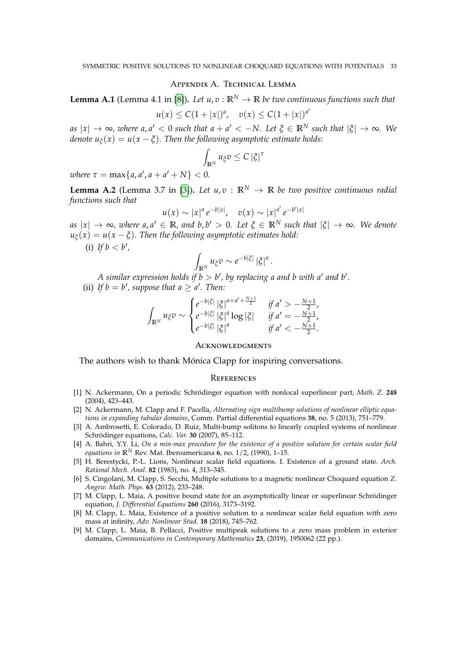## Appendix A. Technical Lemma

<span id="page-32-6"></span>**Lemma A.1** (Lemma 4.1 in [\[8\]](#page-32-1)). Let  $u, v : \mathbb{R}^N \to \mathbb{R}$  be two continuous functions such that

$$
u(x) \leq C(1+|x|)^a
$$
,  $v(x) \leq C(1+|x|)^{a'}$ 

 $a$ <sub>*s*</sub>  $|x| \to \infty$ , where  $a, a' < 0$  such that  $a + a' < -N$ . Let  $\xi \in \mathbb{R}^N$  such that  $|\xi| \to \infty$ . We *denote*  $u_{\xi}(x) = u(x - \xi)$ *. Then the following asymptotic estimate holds:* 

$$
\int_{\mathbb{R}^N} u_{\xi} v \leq C \left| \xi \right|^{\tau}
$$

 $where \tau = \max\{a, a', a + a' + N\} < 0.$ 

<span id="page-32-8"></span>**Lemma A.2** (Lemma 3.7 in [\[3\]](#page-32-7)). Let  $u, v : \mathbb{R}^N \to \mathbb{R}$  be two positive continuous radial *functions such that*

$$
u(x) \sim |x|^a e^{-b|x|}, \quad v(x) \sim |x|^{a'} e^{-b'|x|}
$$

 $a$ <sub>*s*</sub> | $x$ |  $\rightarrow \infty$ *, where a, a'*  $\in \mathbb{R}$ *, and b,b'*  $> 0$ *. Let*  $\xi \in \mathbb{R}^N$  *such that*  $|\xi| \rightarrow \infty$ *. We denote*  $u_{\xi}(x) = u(x - \xi)$ . Then the following asymptotic estimates hold:

(i) If  $b < b'$ ,

$$
\int_{\mathbb{R}^N} u_{\xi} v \sim e^{-b|\xi|} |\xi|^a
$$

.

*A* similar expression holds if  $b > b'$ , by replacing a and b with a' and b'.

(ii) If  $b = b'$ , suppose that  $a \ge a'$ . Then:

$$
\int_{\mathbb{R}^N} u_{\xi} v \sim \begin{cases} e^{-b|\xi|} |\xi|^{a+a'+\frac{N+1}{2}} & \text{if } a' > -\frac{N+1}{2}, \\ e^{-b|\xi|} |\xi|^{a} \log |\xi| & \text{if } a' = -\frac{N+1}{2}, \\ e^{-b|\xi|} |\xi|^{a} & \text{if } a' < -\frac{N+1}{2}. \end{cases}
$$

## **ACKNOWLEDGMENTS**

The authors wish to thank Mónica Clapp for inspiring conversations.

#### **REFERENCES**

- <span id="page-32-5"></span>[1] N. Ackermann, On a periodic Schrödinger equation with nonlocal superlinear part, *Math. Z.* **248** (2004), 423–443.
- <span id="page-32-9"></span>[2] N. Ackermann, M. Clapp and F. Pacella, *Alternating sign multibump solutions of nonlinear elliptic equations in expanding tubular domains*, Comm. Partial differential equations **38**, no. 5 (2013), 751–779.
- <span id="page-32-7"></span>[3] A. Ambrosetti, E. Colorado, D. Ruiz, Multi-bump solitons to linearly coupled systems of nonlinear Schrödinger equations, *Calc. Var.* **30** (2007), 85–112.
- <span id="page-32-0"></span>[4] A. Bahri, Y.Y. Li, *On a min-max procedure for the existence of a positive solution for certain scalar field equations in*  $\mathbb{R}^N$  Rev. Mat. Iberoamericana  $\vec{6}$ , no. 1/2, (1990), 1–15.
- <span id="page-32-4"></span>[5] H. Berestycki, P.-L. Lions, Nonlinear scalar field equations. I. Existence of a ground state. *Arch. Rational Mech. Anal.* **82** (1983), no. 4, 313–345.
- <span id="page-32-3"></span>[6] S. Cingolani, M. Clapp, S. Secchi, Multiple solutions to a magnetic nonlinear Choquard equation *Z. Angew. Math. Phys.* **63** (2012), 233–248.
- <span id="page-32-10"></span>[7] M. Clapp, L. Maia, A positive bound state for an asymptotically linear or superlinear Schrödinger equation, *J. Differential Equations* **260** (2016), 3173–3192.
- <span id="page-32-1"></span>[8] M. Clapp, L. Maia, Existence of a positive solution to a nonlinear scalar field equation with zero mass at infinity, *Adv. Nonlinear Stud.* **18** (2018), 745–762.
- <span id="page-32-2"></span>[9] M. Clapp, L. Maia, B. Pellacci, Positive multipeak solutions to a zero mass problem in exterior domains, *Communications in Contemporary Mathematics* **23**, (2019), 1950062 (22 pp.).